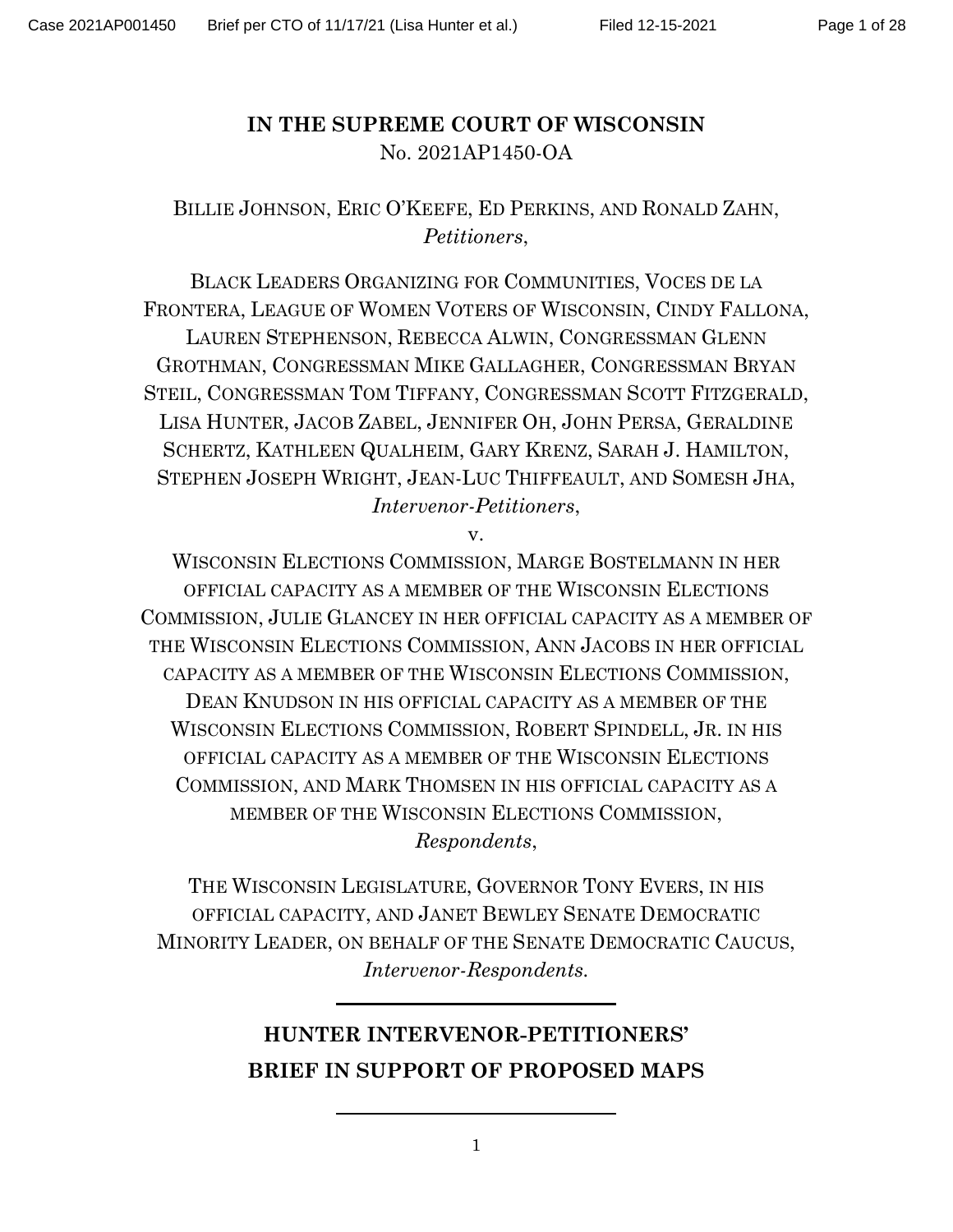# **IN THE SUPREME COURT OF WISCONSIN** No. 2021AP1450-OA

# BILLIE JOHNSON, ERIC O'KEEFE, ED PERKINS, AND RONALD ZAHN, *Petitioners*,

BLACK LEADERS ORGANIZING FOR COMMUNITIES, VOCES DE LA FRONTERA, LEAGUE OF WOMEN VOTERS OF WISCONSIN, CINDY FALLONA, LAUREN STEPHENSON, REBECCA ALWIN, CONGRESSMAN GLENN GROTHMAN, CONGRESSMAN MIKE GALLAGHER, CONGRESSMAN BRYAN STEIL, CONGRESSMAN TOM TIFFANY, CONGRESSMAN SCOTT FITZGERALD, LISA HUNTER, JACOB ZABEL, JENNIFER OH, JOHN PERSA, GERALDINE SCHERTZ, KATHLEEN QUALHEIM, GARY KRENZ, SARAH J. HAMILTON, STEPHEN JOSEPH WRIGHT, JEAN-LUC THIFFEAULT, AND SOMESH JHA, *Intervenor-Petitioners*,

v.

WISCONSIN ELECTIONS COMMISSION, MARGE BOSTELMANN IN HER OFFICIAL CAPACITY AS A MEMBER OF THE WISCONSIN ELECTIONS COMMISSION, JULIE GLANCEY IN HER OFFICIAL CAPACITY AS A MEMBER OF THE WISCONSIN ELECTIONS COMMISSION, ANN JACOBS IN HER OFFICIAL CAPACITY AS A MEMBER OF THE WISCONSIN ELECTIONS COMMISSION, DEAN KNUDSON IN HIS OFFICIAL CAPACITY AS A MEMBER OF THE WISCONSIN ELECTIONS COMMISSION, ROBERT SPINDELL, JR. IN HIS OFFICIAL CAPACITY AS A MEMBER OF THE WISCONSIN ELECTIONS COMMISSION, AND MARK THOMSEN IN HIS OFFICIAL CAPACITY AS A MEMBER OF THE WISCONSIN ELECTIONS COMMISSION,

*Respondents*,

THE WISCONSIN LEGISLATURE, GOVERNOR TONY EVERS, IN HIS OFFICIAL CAPACITY, AND JANET BEWLEY SENATE DEMOCRATIC MINORITY LEADER, ON BEHALF OF THE SENATE DEMOCRATIC CAUCUS, *Intervenor-Respondents.*

# **HUNTER INTERVENOR-PETITIONERS' BRIEF IN SUPPORT OF PROPOSED MAPS**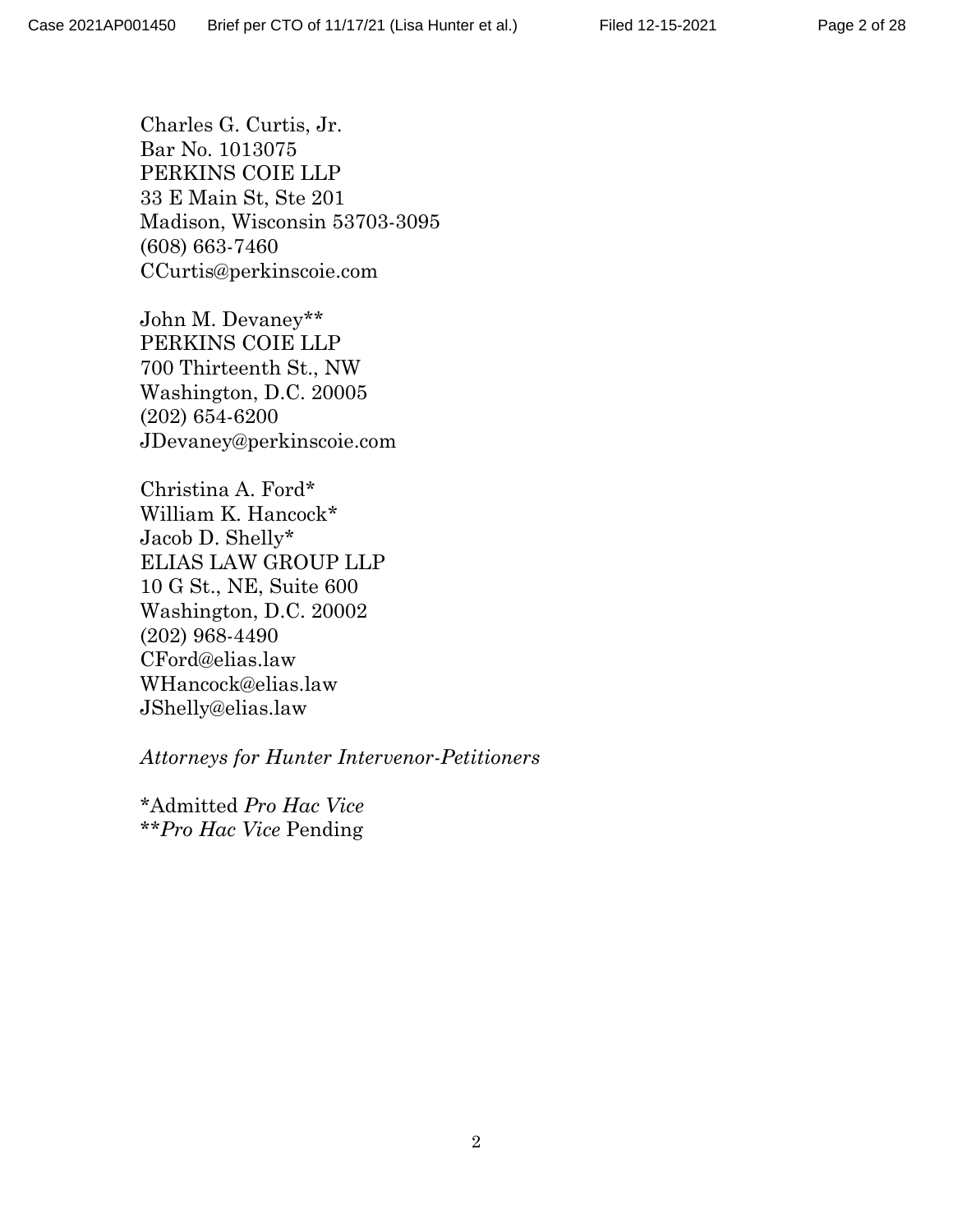Charles G. Curtis, Jr. Bar No. 1013075 PERKINS COIE LLP 33 E Main St, Ste 201 Madison, Wisconsin 53703-3095 (608) 663-7460 CCurtis@perkinscoie.com

John M. Devaney\*\* PERKINS COIE LLP 700 Thirteenth St., NW Washington, D.C. 20005 (202) 654-6200 JDevaney@perkinscoie.com

Christina A. Ford\* William K. Hancock\* Jacob D. Shelly\* ELIAS LAW GROUP LLP 10 G St., NE, Suite 600 Washington, D.C. 20002 (202) 968-4490 CFord@elias.law WHancock@elias.law JShelly@elias.law

*Attorneys for Hunter Intervenor-Petitioners*

\*Admitted *Pro Hac Vice* \*\**Pro Hac Vice* Pending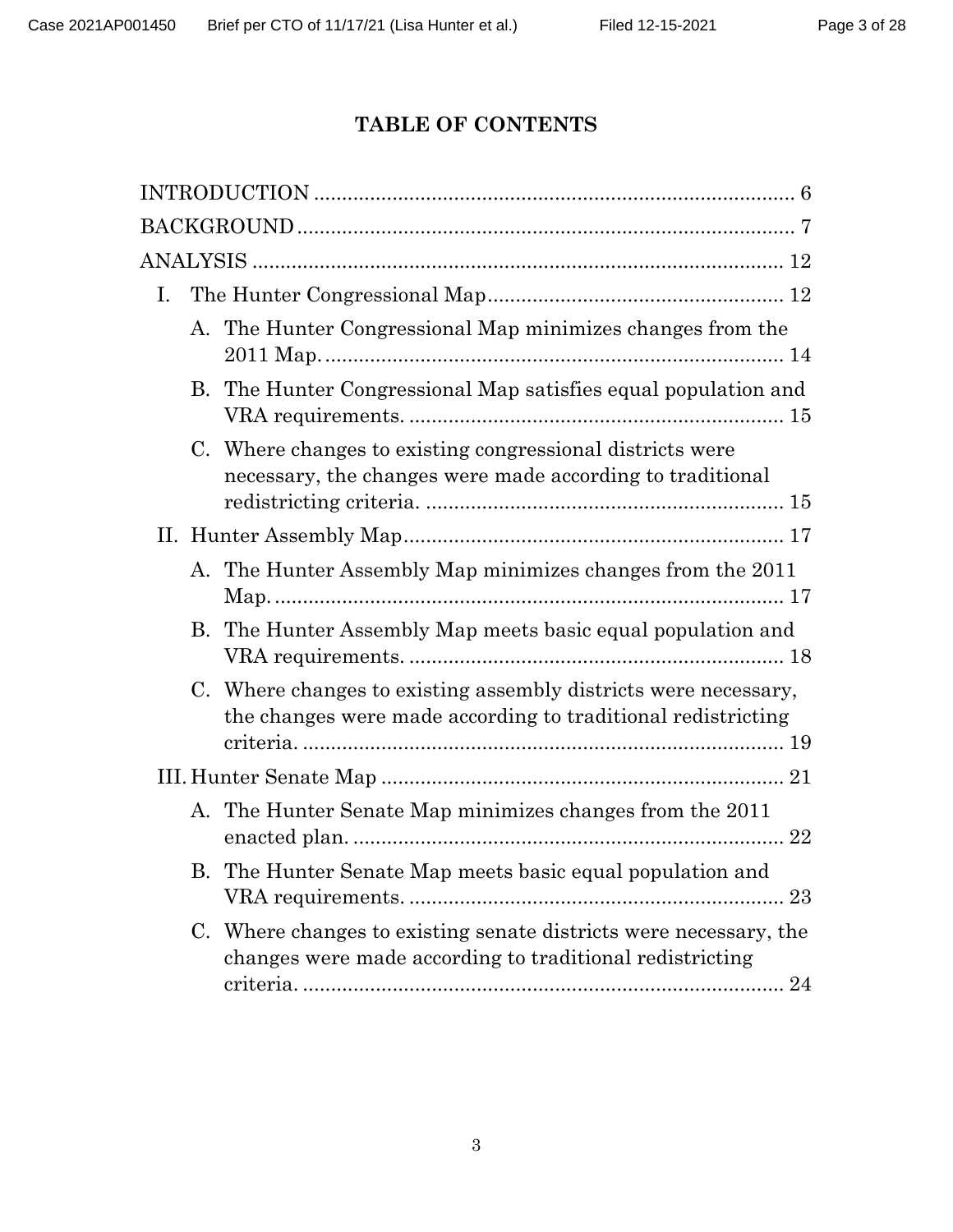# **TABLE OF CONTENTS**

| Ι. |                                                                                                                                 |  |
|----|---------------------------------------------------------------------------------------------------------------------------------|--|
|    | A. The Hunter Congressional Map minimizes changes from the                                                                      |  |
|    | B. The Hunter Congressional Map satisfies equal population and                                                                  |  |
|    | C. Where changes to existing congressional districts were<br>necessary, the changes were made according to traditional          |  |
|    |                                                                                                                                 |  |
|    | A. The Hunter Assembly Map minimizes changes from the 2011                                                                      |  |
|    | B. The Hunter Assembly Map meets basic equal population and                                                                     |  |
|    | C. Where changes to existing assembly districts were necessary,<br>the changes were made according to traditional redistricting |  |
|    |                                                                                                                                 |  |
|    | A. The Hunter Senate Map minimizes changes from the 2011<br>22                                                                  |  |
|    | B. The Hunter Senate Map meets basic equal population and                                                                       |  |
|    | C. Where changes to existing senate districts were necessary, the<br>changes were made according to traditional redistricting   |  |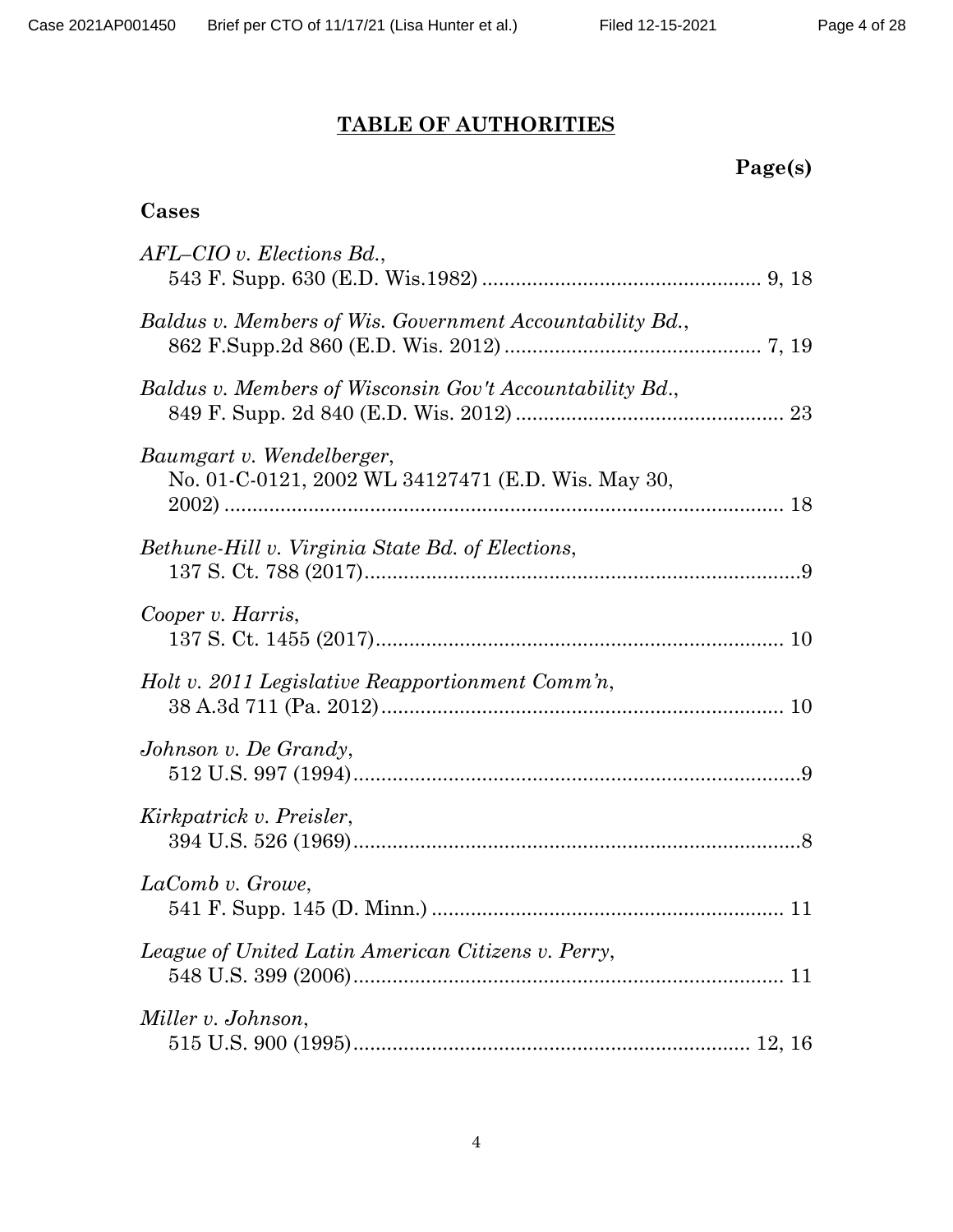# **TABLE OF AUTHORITIES**

| rger<br>IS J<br>н |
|-------------------|
|-------------------|

# **Cases**

| $AFL-CIO$ v. Elections $Bd$ .,                                                  |
|---------------------------------------------------------------------------------|
| Baldus v. Members of Wis. Government Accountability Bd.,                        |
| Baldus v. Members of Wisconsin Gov't Accountability Bd.,                        |
| Baumgart v. Wendelberger,<br>No. 01-C-0121, 2002 WL 34127471 (E.D. Wis. May 30, |
| Bethune-Hill v. Virginia State Bd. of Elections,                                |
| Cooper v. Harris,                                                               |
| Holt v. 2011 Legislative Reapportionment Comm'n,                                |
| Johnson v. De Grandy,                                                           |
| Kirkpatrick v. Preisler,                                                        |
| LaComb v. Growe,                                                                |
| League of United Latin American Citizens v. Perry,                              |
| Miller v. Johnson,                                                              |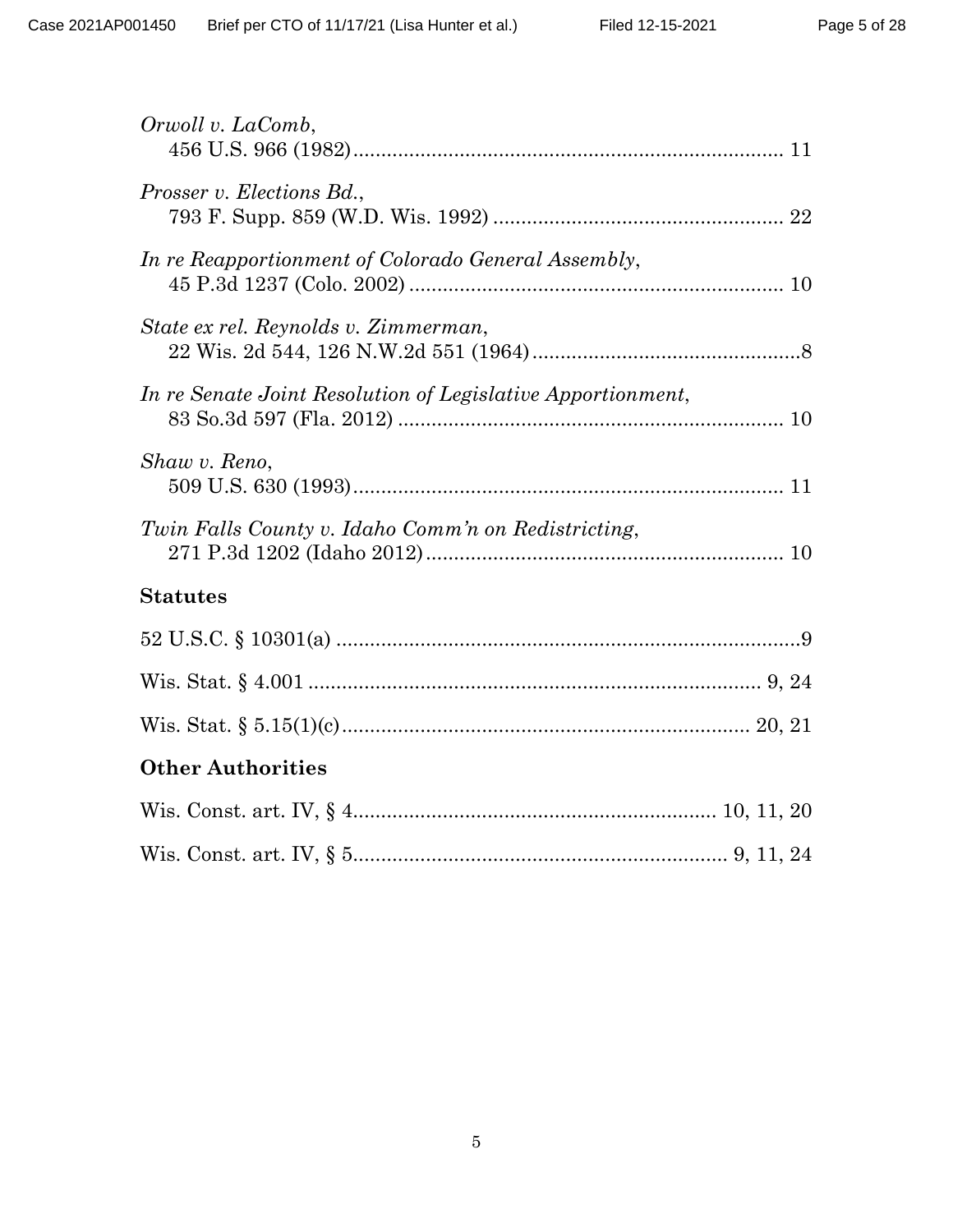| Orwoll v. LaComb,                                           |
|-------------------------------------------------------------|
| Prosser v. Elections Bd.,                                   |
| In re Reapportionment of Colorado General Assembly,         |
| State ex rel. Reynolds v. Zimmerman,                        |
| In re Senate Joint Resolution of Legislative Apportionment, |
| Shaw v. Reno,                                               |
| Twin Falls County v. Idaho Comm'n on Redistricting,         |
| <b>Statutes</b>                                             |
|                                                             |
|                                                             |
|                                                             |
| <b>Other Authorities</b>                                    |
|                                                             |
|                                                             |
|                                                             |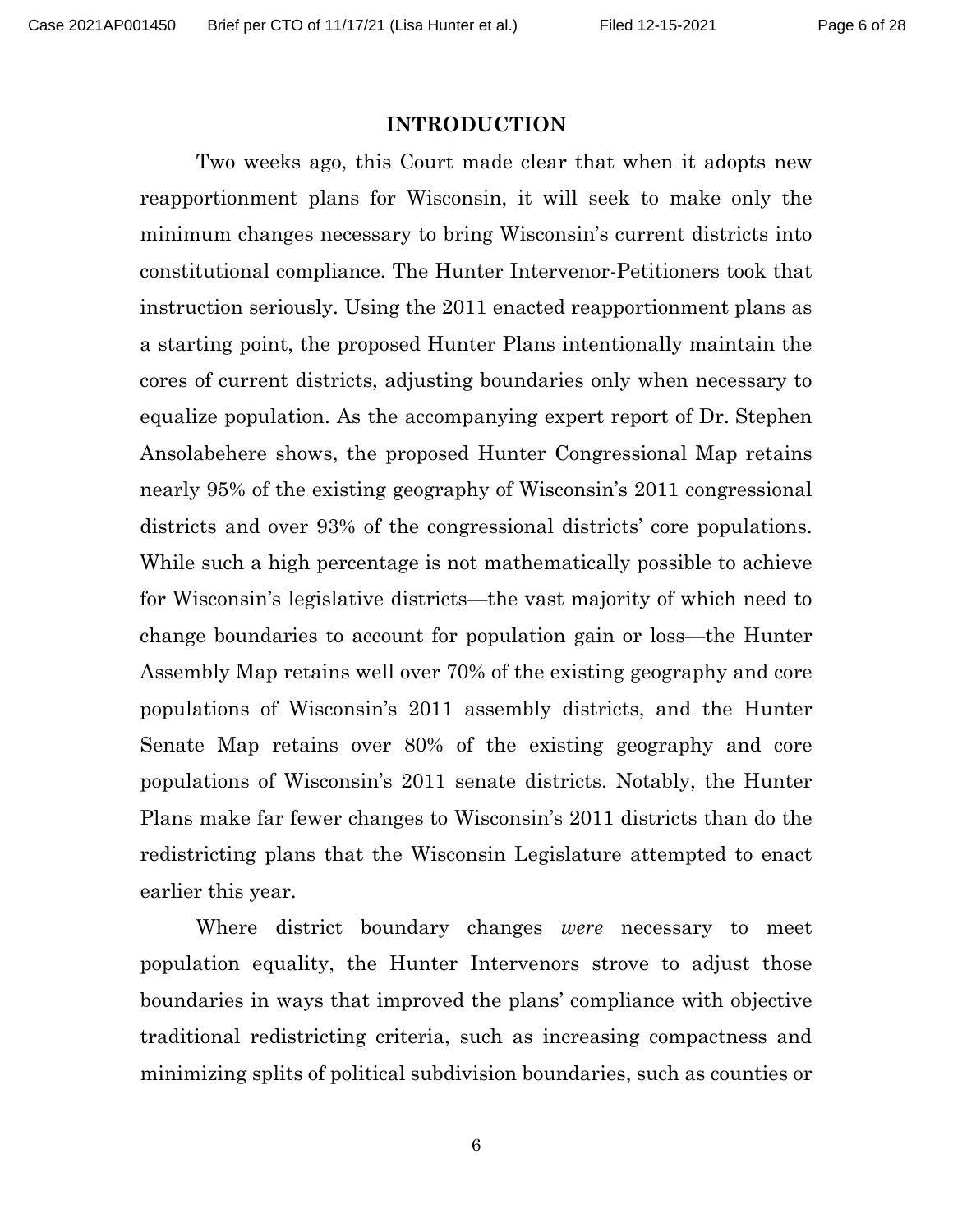#### **INTRODUCTION**

<span id="page-5-0"></span>Two weeks ago, this Court made clear that when it adopts new reapportionment plans for Wisconsin, it will seek to make only the minimum changes necessary to bring Wisconsin's current districts into constitutional compliance. The Hunter Intervenor-Petitioners took that instruction seriously. Using the 2011 enacted reapportionment plans as a starting point, the proposed Hunter Plans intentionally maintain the cores of current districts, adjusting boundaries only when necessary to equalize population. As the accompanying expert report of Dr. Stephen Ansolabehere shows, the proposed Hunter Congressional Map retains nearly 95% of the existing geography of Wisconsin's 2011 congressional districts and over 93% of the congressional districts' core populations. While such a high percentage is not mathematically possible to achieve for Wisconsin's legislative districts—the vast majority of which need to change boundaries to account for population gain or loss—the Hunter Assembly Map retains well over 70% of the existing geography and core populations of Wisconsin's 2011 assembly districts, and the Hunter Senate Map retains over 80% of the existing geography and core populations of Wisconsin's 2011 senate districts. Notably, the Hunter Plans make far fewer changes to Wisconsin's 2011 districts than do the redistricting plans that the Wisconsin Legislature attempted to enact earlier this year.

Where district boundary changes *were* necessary to meet population equality, the Hunter Intervenors strove to adjust those boundaries in ways that improved the plans' compliance with objective traditional redistricting criteria, such as increasing compactness and minimizing splits of political subdivision boundaries, such as counties or

6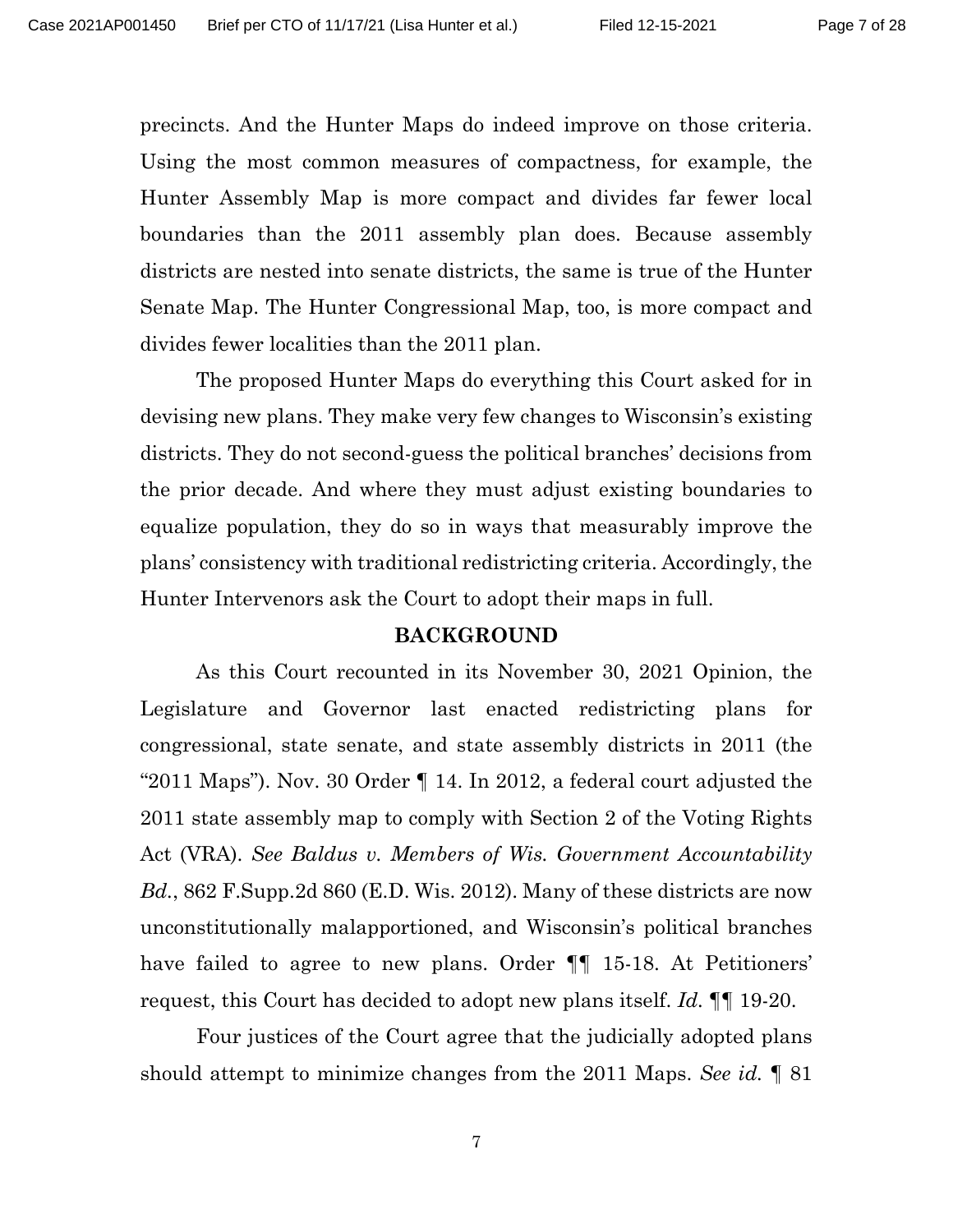precincts. And the Hunter Maps do indeed improve on those criteria. Using the most common measures of compactness, for example, the Hunter Assembly Map is more compact and divides far fewer local boundaries than the 2011 assembly plan does. Because assembly districts are nested into senate districts, the same is true of the Hunter Senate Map. The Hunter Congressional Map, too, is more compact and divides fewer localities than the 2011 plan.

The proposed Hunter Maps do everything this Court asked for in devising new plans. They make very few changes to Wisconsin's existing districts. They do not second-guess the political branches' decisions from the prior decade. And where they must adjust existing boundaries to equalize population, they do so in ways that measurably improve the plans' consistency with traditional redistricting criteria. Accordingly, the Hunter Intervenors ask the Court to adopt their maps in full.

#### <span id="page-6-1"></span>**BACKGROUND**

<span id="page-6-0"></span>As this Court recounted in its November 30, 2021 Opinion, the Legislature and Governor last enacted redistricting plans for congressional, state senate, and state assembly districts in 2011 (the "2011 Maps"). Nov. 30 Order ¶ 14. In 2012, a federal court adjusted the 2011 state assembly map to comply with Section 2 of the Voting Rights Act (VRA). *See Baldus v. Members of Wis. Government Accountability Bd.*, 862 F.Supp.2d 860 (E.D. Wis. 2012). Many of these districts are now unconstitutionally malapportioned, and Wisconsin's political branches have failed to agree to new plans. Order  $\P$  15-18. At Petitioners' request, this Court has decided to adopt new plans itself. *Id.* ¶¶ 19-20.

Four justices of the Court agree that the judicially adopted plans should attempt to minimize changes from the 2011 Maps. *See id.* ¶ 81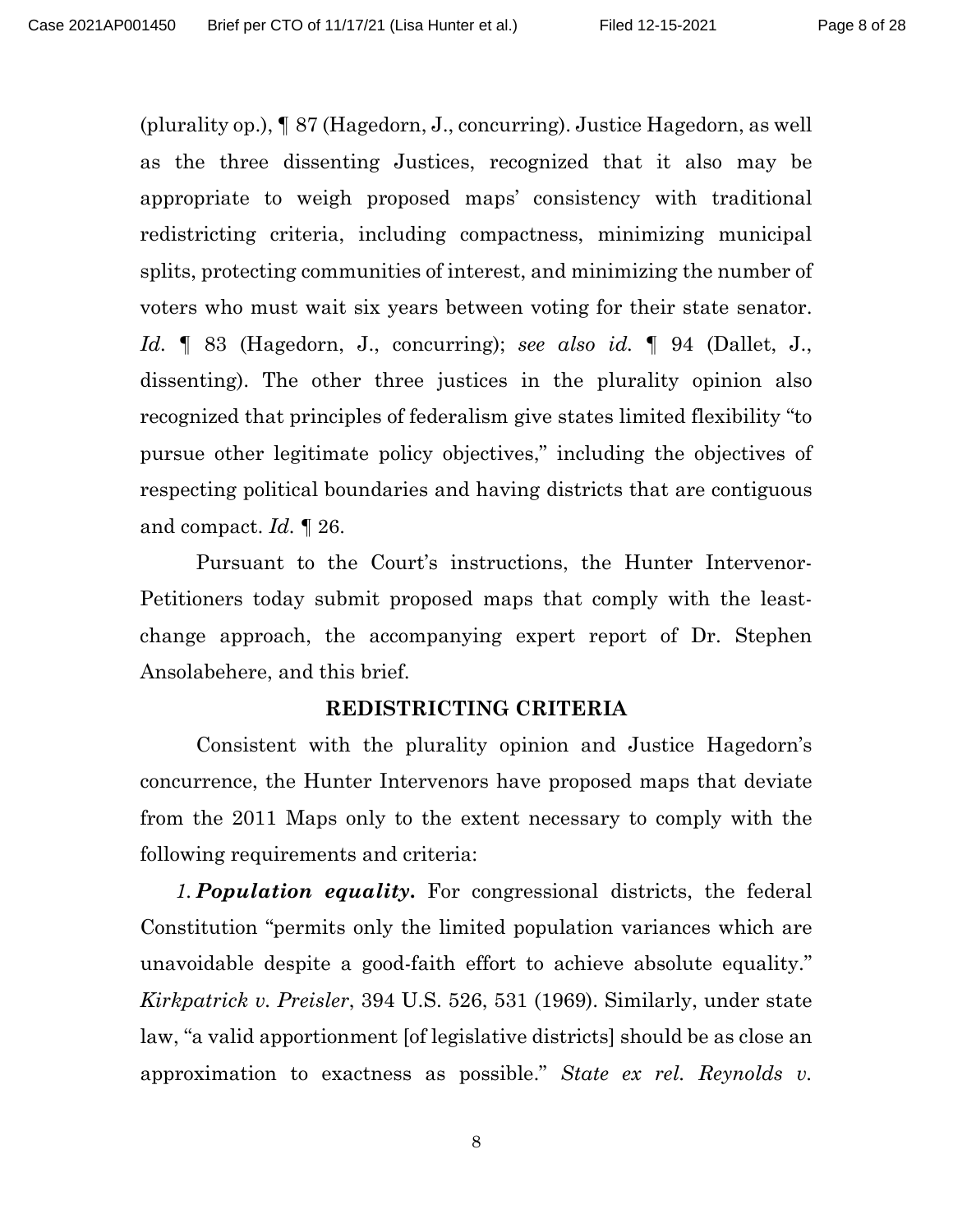(plurality op.), ¶ 87 (Hagedorn, J., concurring). Justice Hagedorn, as well as the three dissenting Justices, recognized that it also may be appropriate to weigh proposed maps' consistency with traditional redistricting criteria, including compactness, minimizing municipal splits, protecting communities of interest, and minimizing the number of voters who must wait six years between voting for their state senator. *Id.* ¶ 83 (Hagedorn, J., concurring); *see also id.* ¶ 94 (Dallet, J., dissenting). The other three justices in the plurality opinion also recognized that principles of federalism give states limited flexibility "to pursue other legitimate policy objectives," including the objectives of respecting political boundaries and having districts that are contiguous and compact. *Id.* ¶ 26.

Pursuant to the Court's instructions, the Hunter Intervenor-Petitioners today submit proposed maps that comply with the leastchange approach, the accompanying expert report of Dr. Stephen Ansolabehere, and this brief.

#### <span id="page-7-1"></span>**REDISTRICTING CRITERIA**

Consistent with the plurality opinion and Justice Hagedorn's concurrence, the Hunter Intervenors have proposed maps that deviate from the 2011 Maps only to the extent necessary to comply with the following requirements and criteria:

<span id="page-7-0"></span>*1. Population equality***.** For congressional districts, the federal Constitution "permits only the limited population variances which are unavoidable despite a good-faith effort to achieve absolute equality." *Kirkpatrick v. Preisler*, 394 U.S. 526, 531 (1969). Similarly, under state law, "a valid apportionment [of legislative districts] should be as close an approximation to exactness as possible." *State ex rel. Reynolds v.*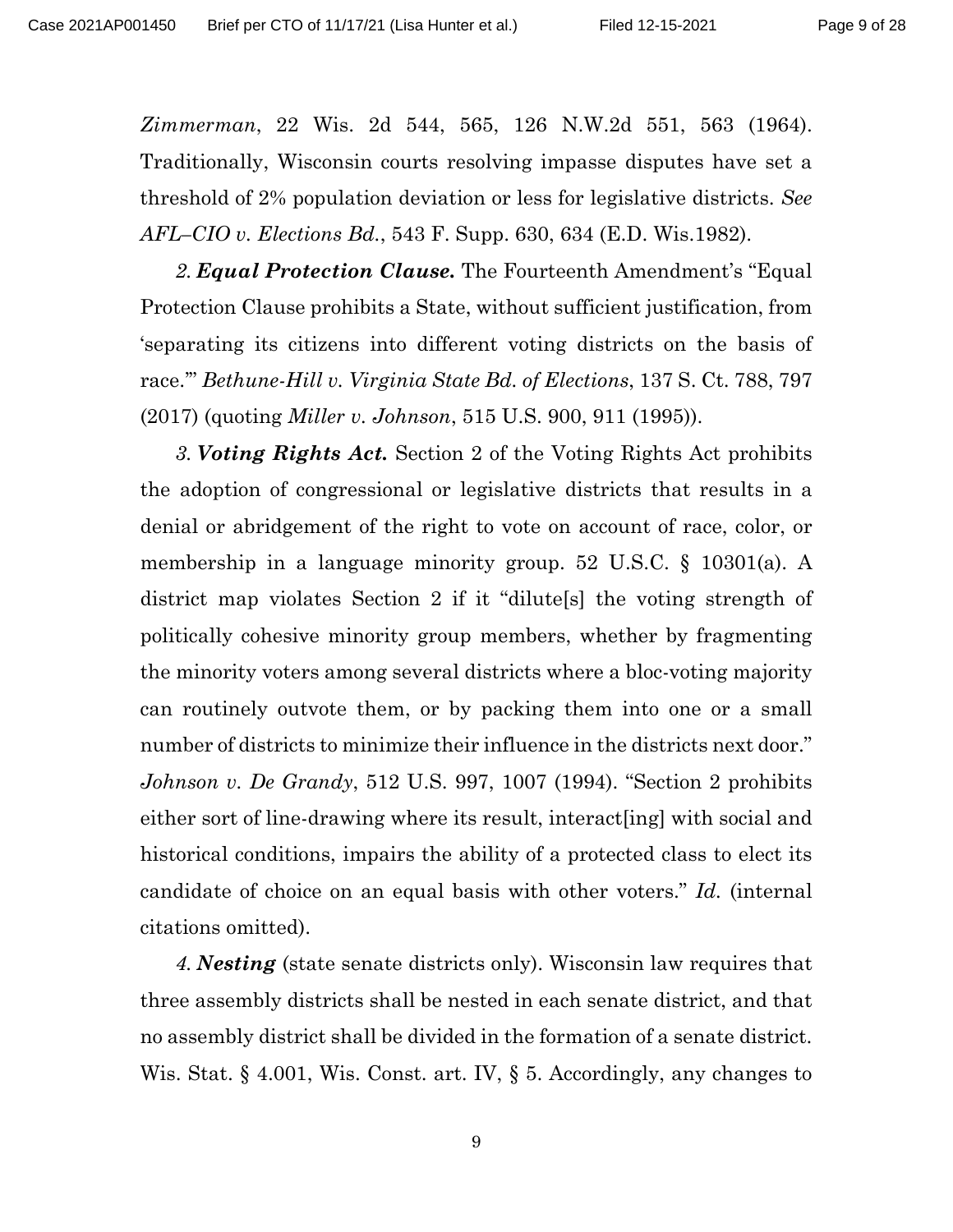*Zimmerman*, 22 Wis. 2d 544, 565, 126 N.W.2d 551, 563 (1964). Traditionally, Wisconsin courts resolving impasse disputes have set a threshold of 2% population deviation or less for legislative districts. *See AFL–CIO v. Elections Bd.*, 543 F. Supp. 630, 634 (E.D. Wis.1982).

<span id="page-8-0"></span>*2. Equal Protection Clause.* The Fourteenth Amendment's "Equal Protection Clause prohibits a State, without sufficient justification, from 'separating its citizens into different voting districts on the basis of race.'" *Bethune-Hill v. Virginia State Bd. of Elections*, 137 S. Ct. 788, 797 (2017) (quoting *Miller v. Johnson*, 515 U.S. 900, 911 (1995)).

<span id="page-8-3"></span><span id="page-8-1"></span>*3. Voting Rights Act.* Section 2 of the Voting Rights Act prohibits the adoption of congressional or legislative districts that results in a denial or abridgement of the right to vote on account of race, color, or membership in a language minority group. 52 U.S.C. § 10301(a). A district map violates Section 2 if it "dilute[s] the voting strength of politically cohesive minority group members, whether by fragmenting the minority voters among several districts where a bloc-voting majority can routinely outvote them, or by packing them into one or a small number of districts to minimize their influence in the districts next door." *Johnson v. De Grandy*, 512 U.S. 997, 1007 (1994). "Section 2 prohibits either sort of line-drawing where its result, interact[ing] with social and historical conditions, impairs the ability of a protected class to elect its candidate of choice on an equal basis with other voters." *Id.* (internal citations omitted).

<span id="page-8-5"></span><span id="page-8-4"></span><span id="page-8-2"></span>*4. Nesting* (state senate districts only). Wisconsin law requires that three assembly districts shall be nested in each senate district, and that no assembly district shall be divided in the formation of a senate district. Wis. Stat. § 4.001, Wis. Const. art. IV, § 5. Accordingly, any changes to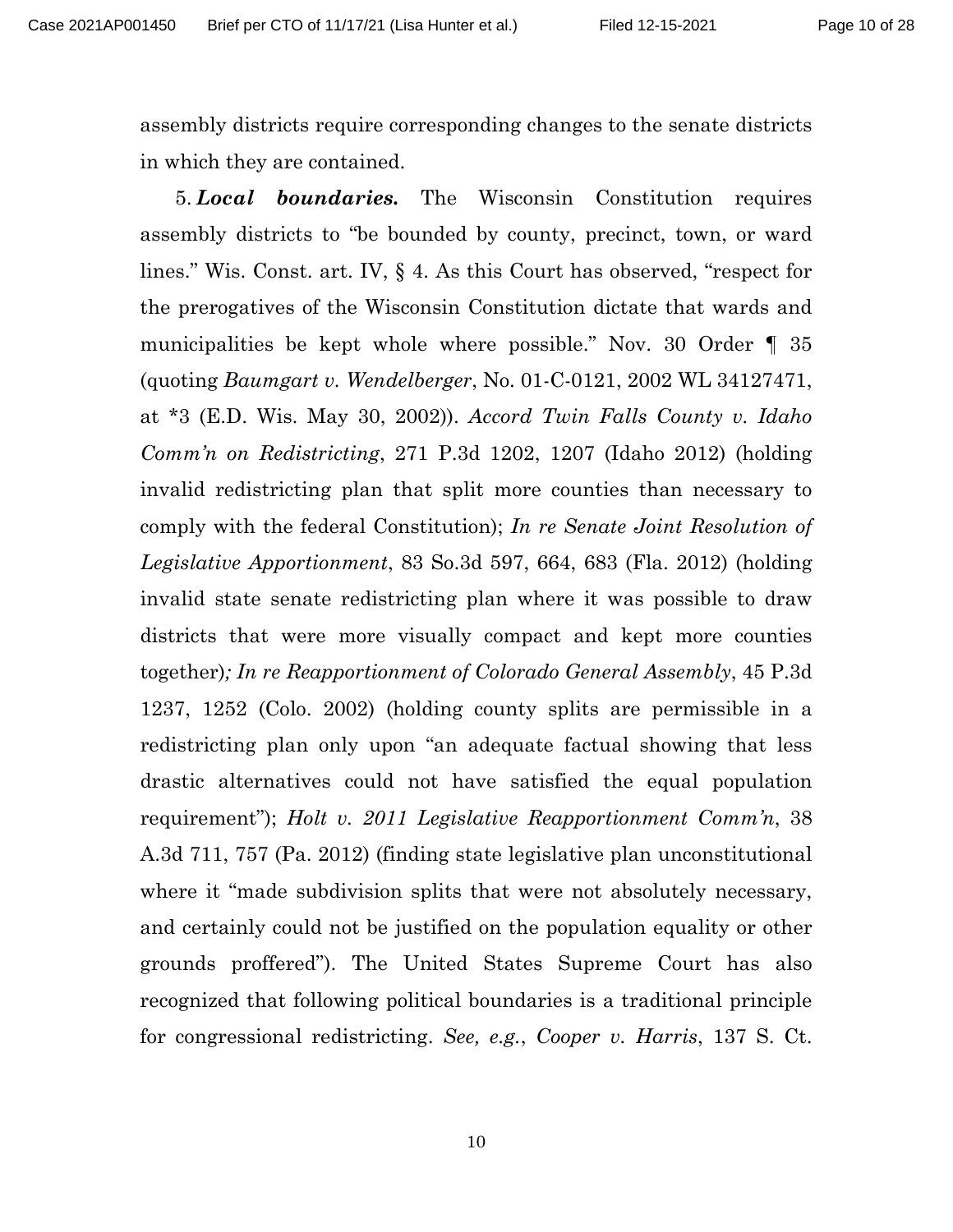assembly districts require corresponding changes to the senate districts in which they are contained.

<span id="page-9-5"></span><span id="page-9-4"></span><span id="page-9-3"></span><span id="page-9-2"></span><span id="page-9-1"></span><span id="page-9-0"></span>5. *Local boundaries.* The Wisconsin Constitution requires assembly districts to "be bounded by county, precinct, town, or ward lines." Wis. Const. art. IV, § 4. As this Court has observed, "respect for the prerogatives of the Wisconsin Constitution dictate that wards and municipalities be kept whole where possible." Nov. 30 Order ¶ 35 (quoting *Baumgart v. Wendelberger*, No. 01-C-0121, 2002 WL 34127471, at \*3 (E.D. Wis. May 30, 2002)). *Accord Twin Falls County v. Idaho Comm'n on Redistricting*, 271 P.3d 1202, 1207 (Idaho 2012) (holding invalid redistricting plan that split more counties than necessary to comply with the federal Constitution); *In re Senate Joint Resolution of Legislative Apportionment*, 83 So.3d 597, 664, 683 (Fla. 2012) (holding invalid state senate redistricting plan where it was possible to draw districts that were more visually compact and kept more counties together)*; In re Reapportionment of Colorado General Assembly*, 45 P.3d 1237, 1252 (Colo. 2002) (holding county splits are permissible in a redistricting plan only upon "an adequate factual showing that less drastic alternatives could not have satisfied the equal population requirement"); *Holt v. 2011 Legislative Reapportionment Comm'n*, 38 A.3d 711, 757 (Pa. 2012) (finding state legislative plan unconstitutional where it "made subdivision splits that were not absolutely necessary, and certainly could not be justified on the population equality or other grounds proffered"). The United States Supreme Court has also recognized that following political boundaries is a traditional principle for congressional redistricting. *See, e.g.*, *Cooper v. Harris*, 137 S. Ct.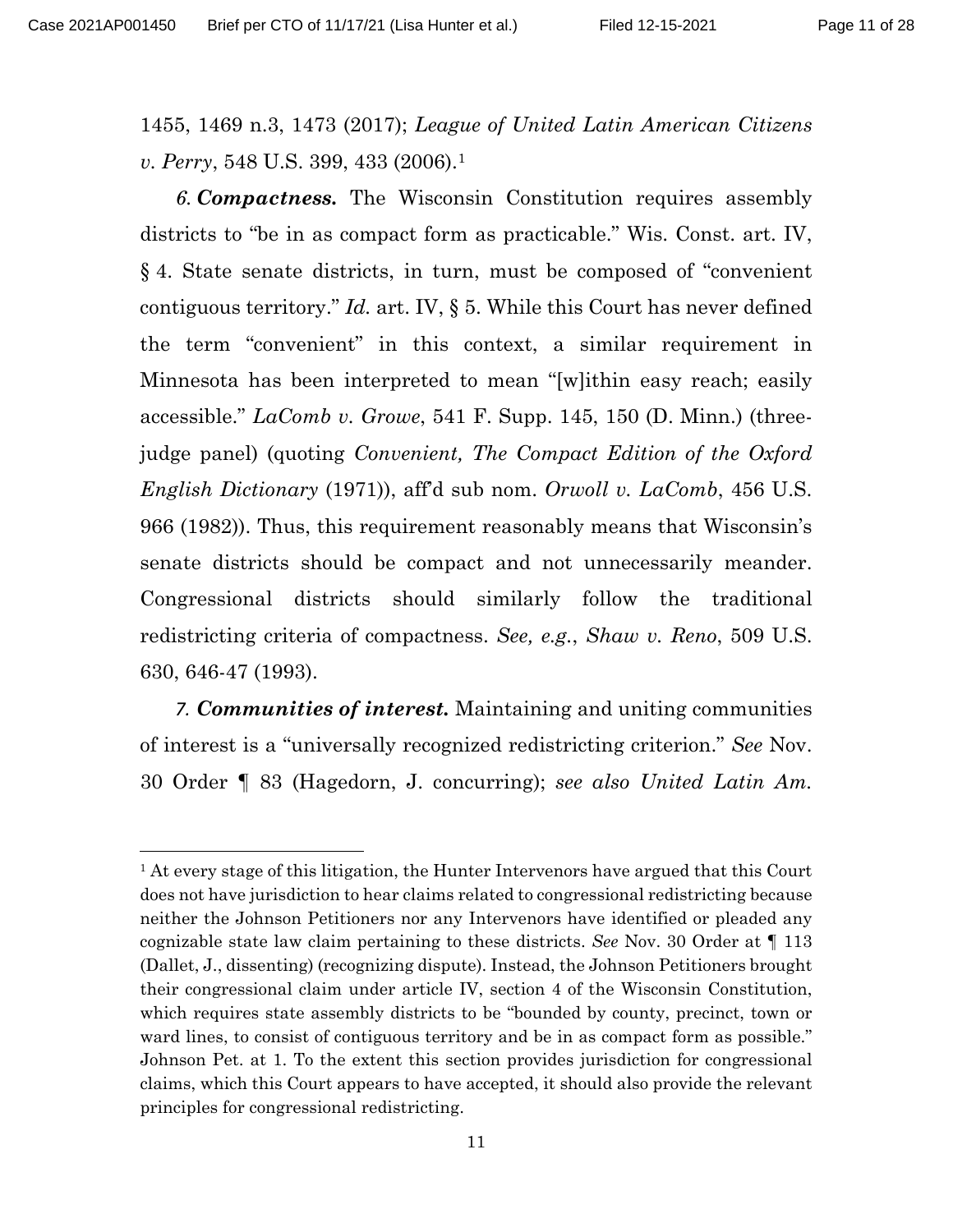<span id="page-10-1"></span>1455, 1469 n.3, 1473 (2017); *League of United Latin American Citizens v. Perry*, 548 U.S. 399, 433 (2006).<sup>1</sup>

<span id="page-10-5"></span><span id="page-10-0"></span>*6. Compactness.* The Wisconsin Constitution requires assembly districts to "be in as compact form as practicable." Wis. Const. art. IV, § 4. State senate districts, in turn, must be composed of "convenient contiguous territory." *Id.* art. IV, § 5. While this Court has never defined the term "convenient" in this context, a similar requirement in Minnesota has been interpreted to mean "[w]ithin easy reach; easily accessible." *LaComb v. Growe*, 541 F. Supp. 145, 150 (D. Minn.) (threejudge panel) (quoting *Convenient, The Compact Edition of the Oxford English Dictionary* (1971)), aff'd sub nom. *Orwoll v. LaComb*, 456 U.S. 966 (1982)). Thus, this requirement reasonably means that Wisconsin's senate districts should be compact and not unnecessarily meander. Congressional districts should similarly follow the traditional redistricting criteria of compactness. *See, e.g.*, *Shaw v. Reno*, 509 U.S. 630, 646-47 (1993).

<span id="page-10-3"></span><span id="page-10-2"></span>*7. Communities of interest.* Maintaining and uniting communities of interest is a "universally recognized redistricting criterion." *See* Nov. 30 Order ¶ 83 (Hagedorn, J. concurring); *see also United Latin Am.* 

<span id="page-10-6"></span><span id="page-10-4"></span> $<sup>1</sup>$  At every stage of this litigation, the Hunter Intervenors have argued that this Court</sup> does not have jurisdiction to hear claims related to congressional redistricting because neither the Johnson Petitioners nor any Intervenors have identified or pleaded any cognizable state law claim pertaining to these districts. *See* Nov. 30 Order at ¶ 113 (Dallet, J., dissenting) (recognizing dispute). Instead, the Johnson Petitioners brought their congressional claim under article IV, section 4 of the Wisconsin Constitution, which requires state assembly districts to be "bounded by county, precinct, town or ward lines, to consist of contiguous territory and be in as compact form as possible." Johnson Pet. at 1. To the extent this section provides jurisdiction for congressional claims, which this Court appears to have accepted, it should also provide the relevant principles for congressional redistricting.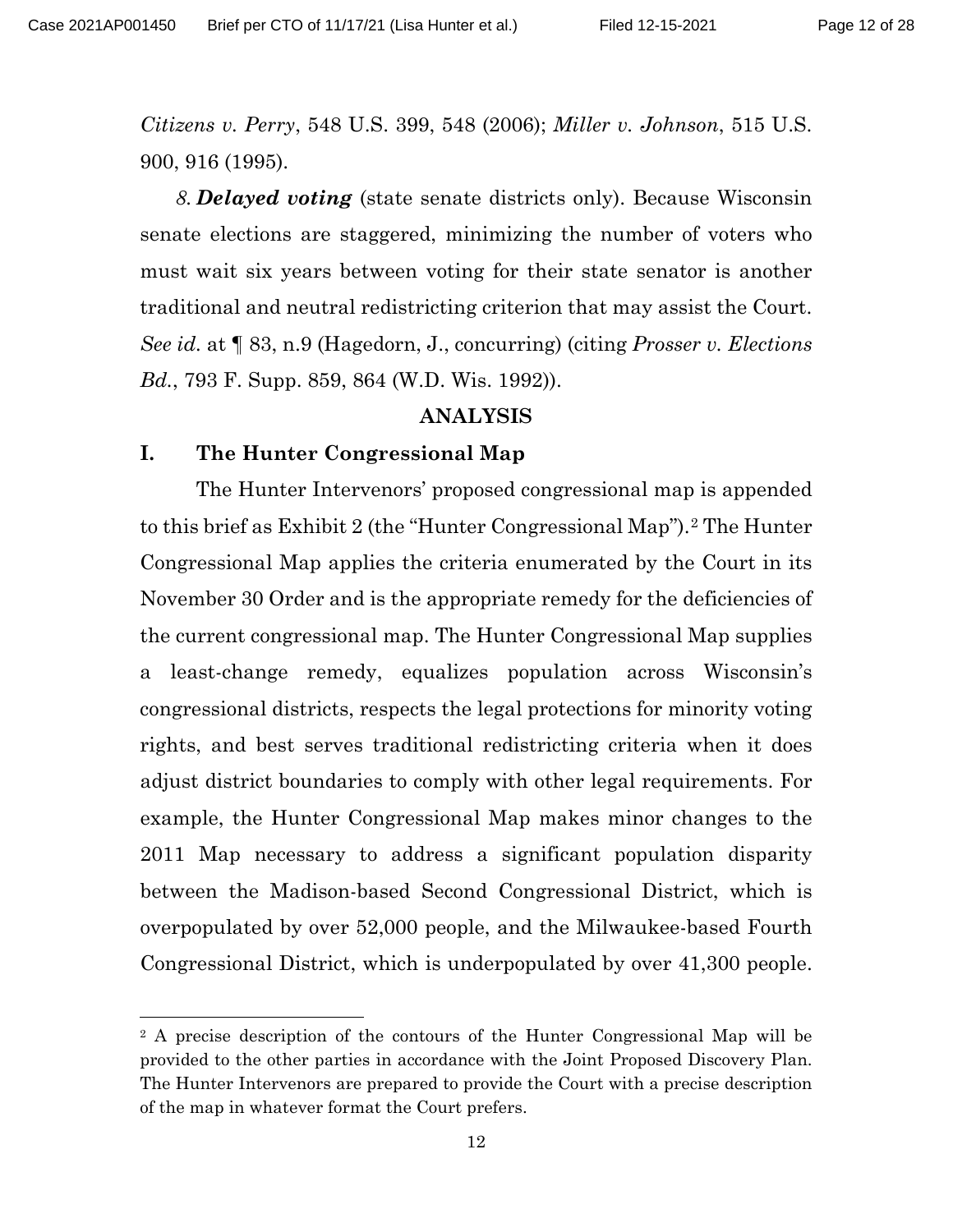<span id="page-11-2"></span>Page 12 of 28

*Citizens v. Perry*, 548 U.S. 399, 548 (2006); *Miller v. Johnson*, 515 U.S. 900, 916 (1995).

*8. Delayed voting* (state senate districts only). Because Wisconsin senate elections are staggered, minimizing the number of voters who must wait six years between voting for their state senator is another traditional and neutral redistricting criterion that may assist the Court. *See id.* at ¶ 83, n.9 (Hagedorn, J., concurring) (citing *Prosser v. Elections Bd.*, 793 F. Supp. 859, 864 (W.D. Wis. 1992)).

#### **ANALYSIS**

#### <span id="page-11-1"></span><span id="page-11-0"></span>**I. The Hunter Congressional Map**

The Hunter Intervenors' proposed congressional map is appended to this brief as Exhibit 2 (the "Hunter Congressional Map").[2](#page-11-3) The Hunter Congressional Map applies the criteria enumerated by the Court in its November 30 Order and is the appropriate remedy for the deficiencies of the current congressional map. The Hunter Congressional Map supplies a least-change remedy, equalizes population across Wisconsin's congressional districts, respects the legal protections for minority voting rights, and best serves traditional redistricting criteria when it does adjust district boundaries to comply with other legal requirements. For example, the Hunter Congressional Map makes minor changes to the 2011 Map necessary to address a significant population disparity between the Madison-based Second Congressional District, which is overpopulated by over 52,000 people, and the Milwaukee-based Fourth Congressional District, which is underpopulated by over 41,300 people.

<span id="page-11-3"></span><sup>&</sup>lt;sup>2</sup> A precise description of the contours of the Hunter Congressional Map will be provided to the other parties in accordance with the Joint Proposed Discovery Plan. The Hunter Intervenors are prepared to provide the Court with a precise description of the map in whatever format the Court prefers.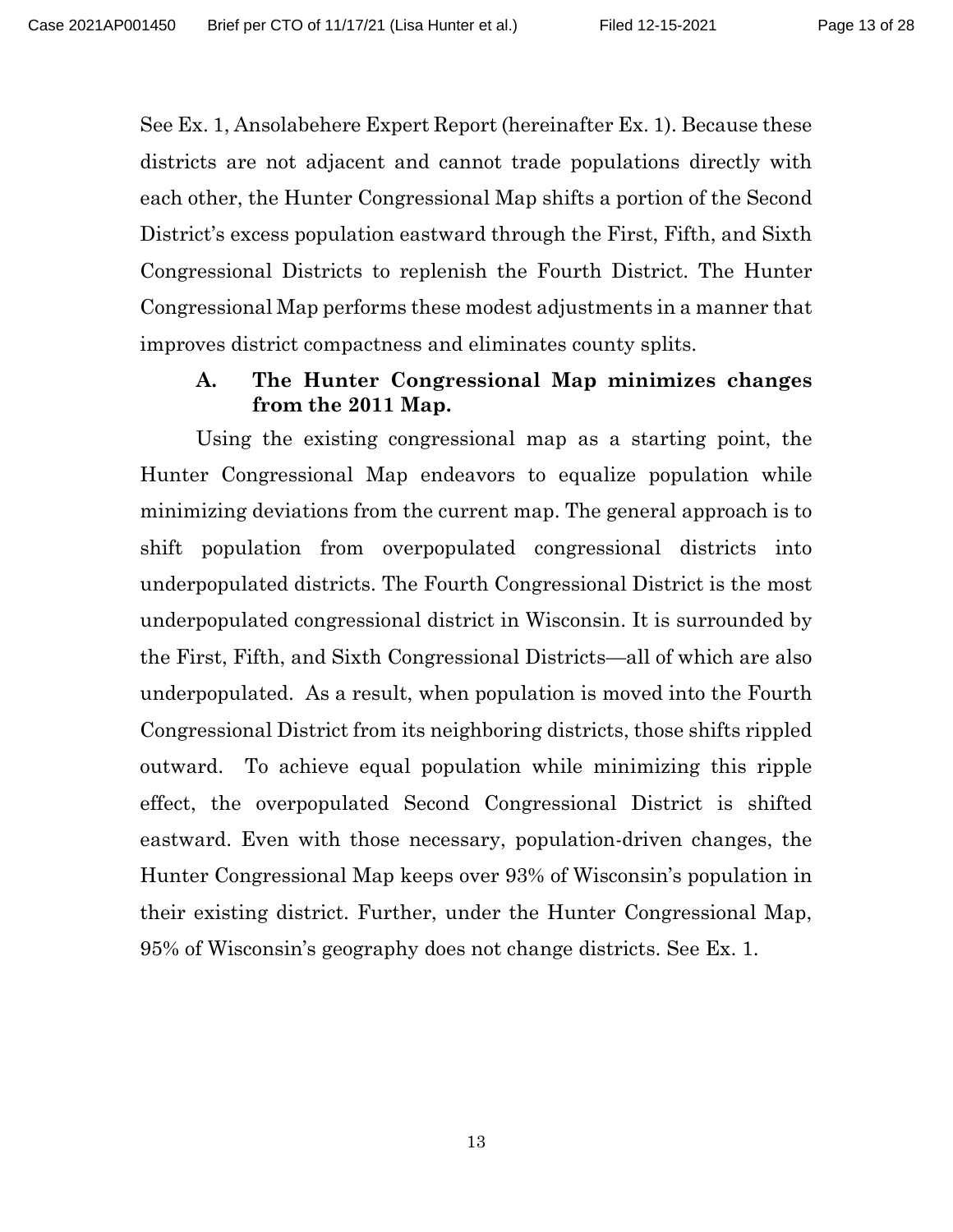See Ex. 1, Ansolabehere Expert Report (hereinafter Ex. 1). Because these districts are not adjacent and cannot trade populations directly with each other, the Hunter Congressional Map shifts a portion of the Second District's excess population eastward through the First, Fifth, and Sixth Congressional Districts to replenish the Fourth District. The Hunter Congressional Map performs these modest adjustments in a manner that improves district compactness and eliminates county splits.

## <span id="page-12-0"></span>**A. The Hunter Congressional Map minimizes changes from the 2011 Map.**

Using the existing congressional map as a starting point, the Hunter Congressional Map endeavors to equalize population while minimizing deviations from the current map. The general approach is to shift population from overpopulated congressional districts into underpopulated districts. The Fourth Congressional District is the most underpopulated congressional district in Wisconsin. It is surrounded by the First, Fifth, and Sixth Congressional Districts—all of which are also underpopulated. As a result, when population is moved into the Fourth Congressional District from its neighboring districts, those shifts rippled outward. To achieve equal population while minimizing this ripple effect, the overpopulated Second Congressional District is shifted eastward. Even with those necessary, population-driven changes, the Hunter Congressional Map keeps over 93% of Wisconsin's population in their existing district. Further, under the Hunter Congressional Map, 95% of Wisconsin's geography does not change districts. See Ex. 1.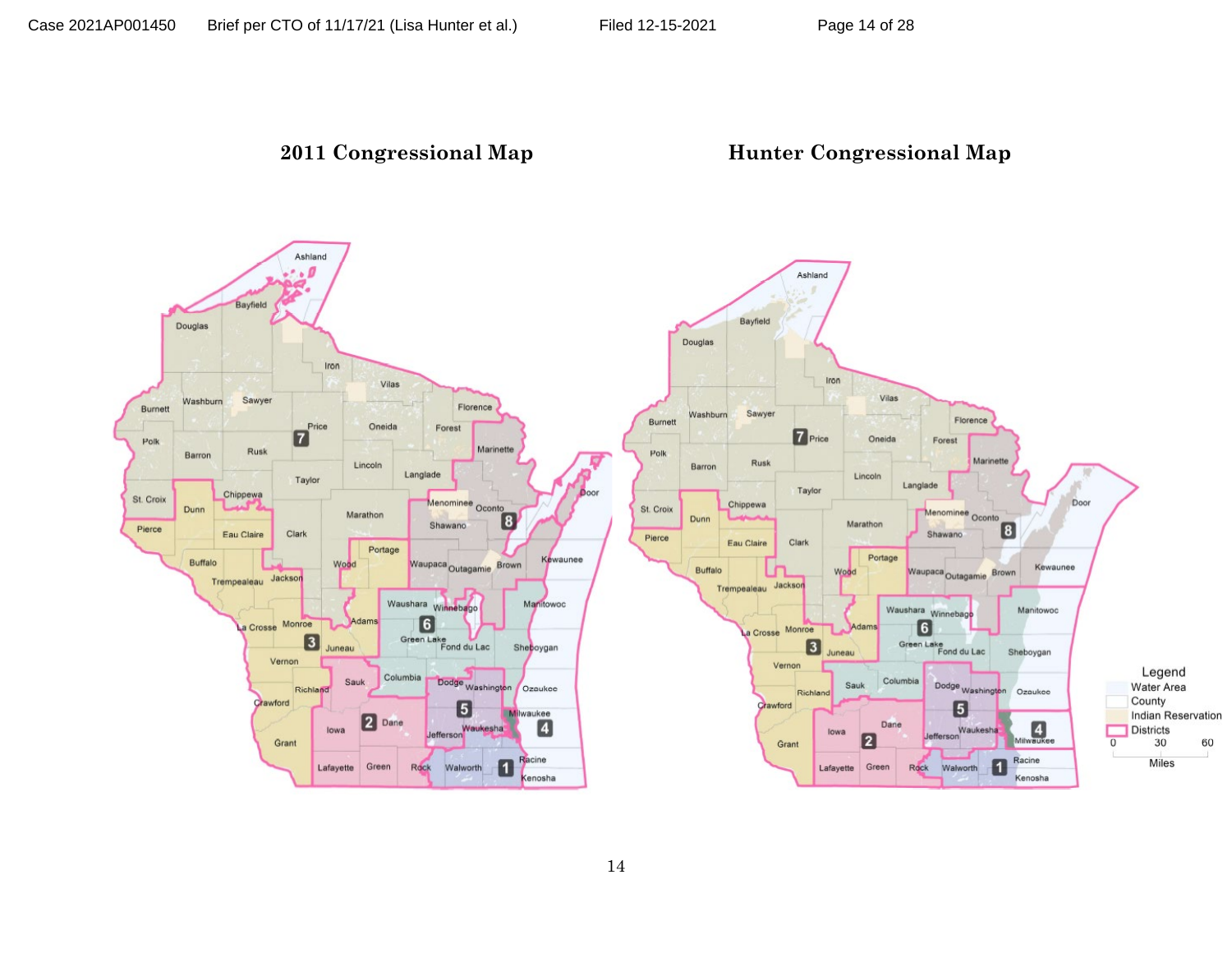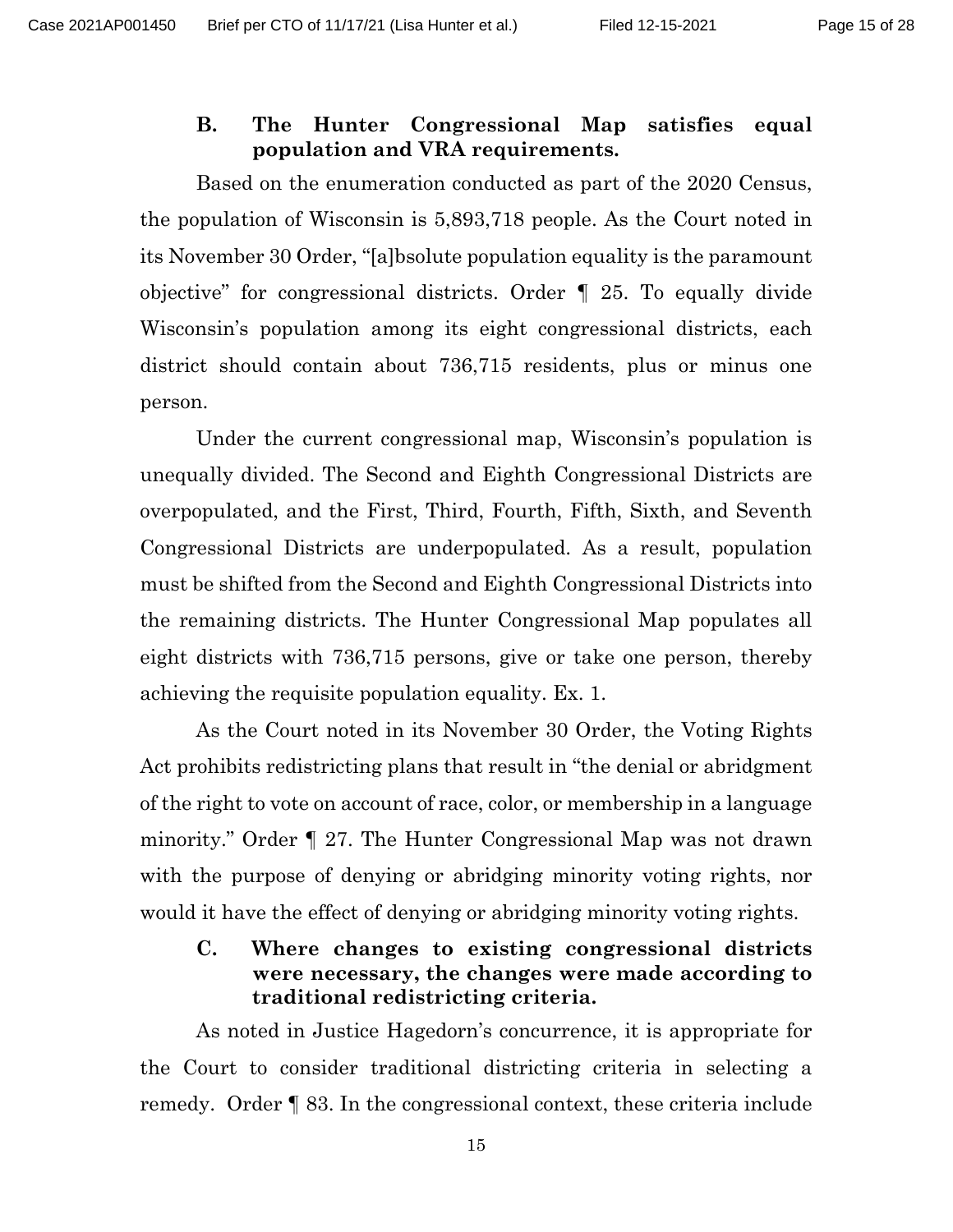#### <span id="page-14-0"></span>**B. The Hunter Congressional Map satisfies equal population and VRA requirements.**

Based on the enumeration conducted as part of the 2020 Census, the population of Wisconsin is 5,893,718 people. As the Court noted in its November 30 Order, "[a]bsolute population equality is the paramount objective" for congressional districts. Order ¶ 25. To equally divide Wisconsin's population among its eight congressional districts, each district should contain about 736,715 residents, plus or minus one person.

Under the current congressional map, Wisconsin's population is unequally divided. The Second and Eighth Congressional Districts are overpopulated, and the First, Third, Fourth, Fifth, Sixth, and Seventh Congressional Districts are underpopulated. As a result, population must be shifted from the Second and Eighth Congressional Districts into the remaining districts. The Hunter Congressional Map populates all eight districts with 736,715 persons, give or take one person, thereby achieving the requisite population equality. Ex. 1.

As the Court noted in its November 30 Order, the Voting Rights Act prohibits redistricting plans that result in "the denial or abridgment of the right to vote on account of race, color, or membership in a language minority." Order ¶ 27. The Hunter Congressional Map was not drawn with the purpose of denying or abridging minority voting rights, nor would it have the effect of denying or abridging minority voting rights.

## <span id="page-14-1"></span>**C. Where changes to existing congressional districts were necessary, the changes were made according to traditional redistricting criteria.**

As noted in Justice Hagedorn's concurrence, it is appropriate for the Court to consider traditional districting criteria in selecting a remedy. Order ¶ 83. In the congressional context, these criteria include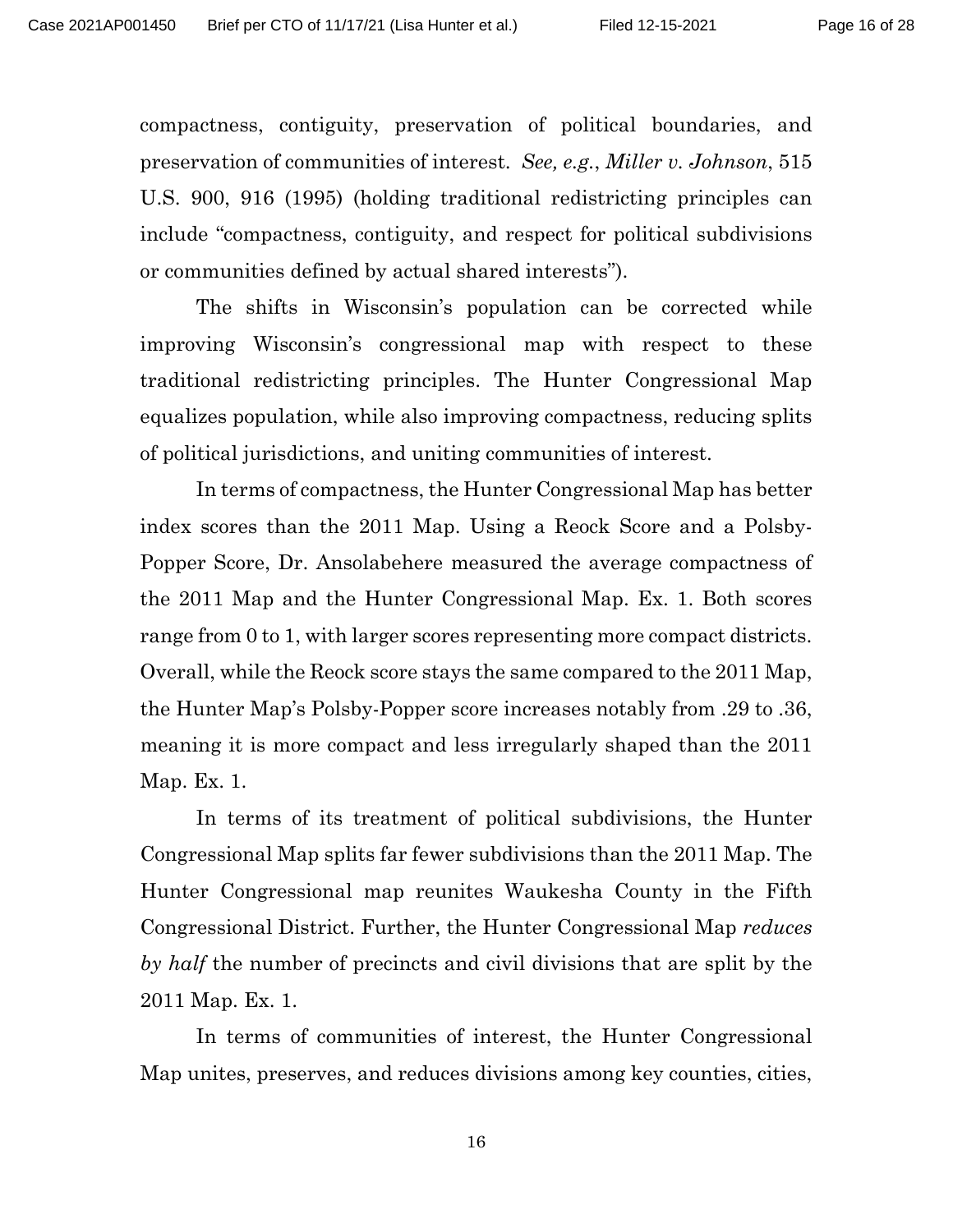<span id="page-15-0"></span>compactness, contiguity, preservation of political boundaries, and preservation of communities of interest. *See, e.g.*, *Miller v. Johnson*, 515 U.S. 900, 916 (1995) (holding traditional redistricting principles can include "compactness, contiguity, and respect for political subdivisions or communities defined by actual shared interests").

The shifts in Wisconsin's population can be corrected while improving Wisconsin's congressional map with respect to these traditional redistricting principles. The Hunter Congressional Map equalizes population, while also improving compactness, reducing splits of political jurisdictions, and uniting communities of interest.

In terms of compactness, the Hunter Congressional Map has better index scores than the 2011 Map. Using a Reock Score and a Polsby-Popper Score, Dr. Ansolabehere measured the average compactness of the 2011 Map and the Hunter Congressional Map. Ex. 1. Both scores range from 0 to 1, with larger scores representing more compact districts. Overall, while the Reock score stays the same compared to the 2011 Map, the Hunter Map's Polsby-Popper score increases notably from .29 to .36, meaning it is more compact and less irregularly shaped than the 2011 Map. Ex. 1.

In terms of its treatment of political subdivisions, the Hunter Congressional Map splits far fewer subdivisions than the 2011 Map. The Hunter Congressional map reunites Waukesha County in the Fifth Congressional District. Further, the Hunter Congressional Map *reduces by half* the number of precincts and civil divisions that are split by the 2011 Map. Ex. 1.

In terms of communities of interest, the Hunter Congressional Map unites, preserves, and reduces divisions among key counties, cities,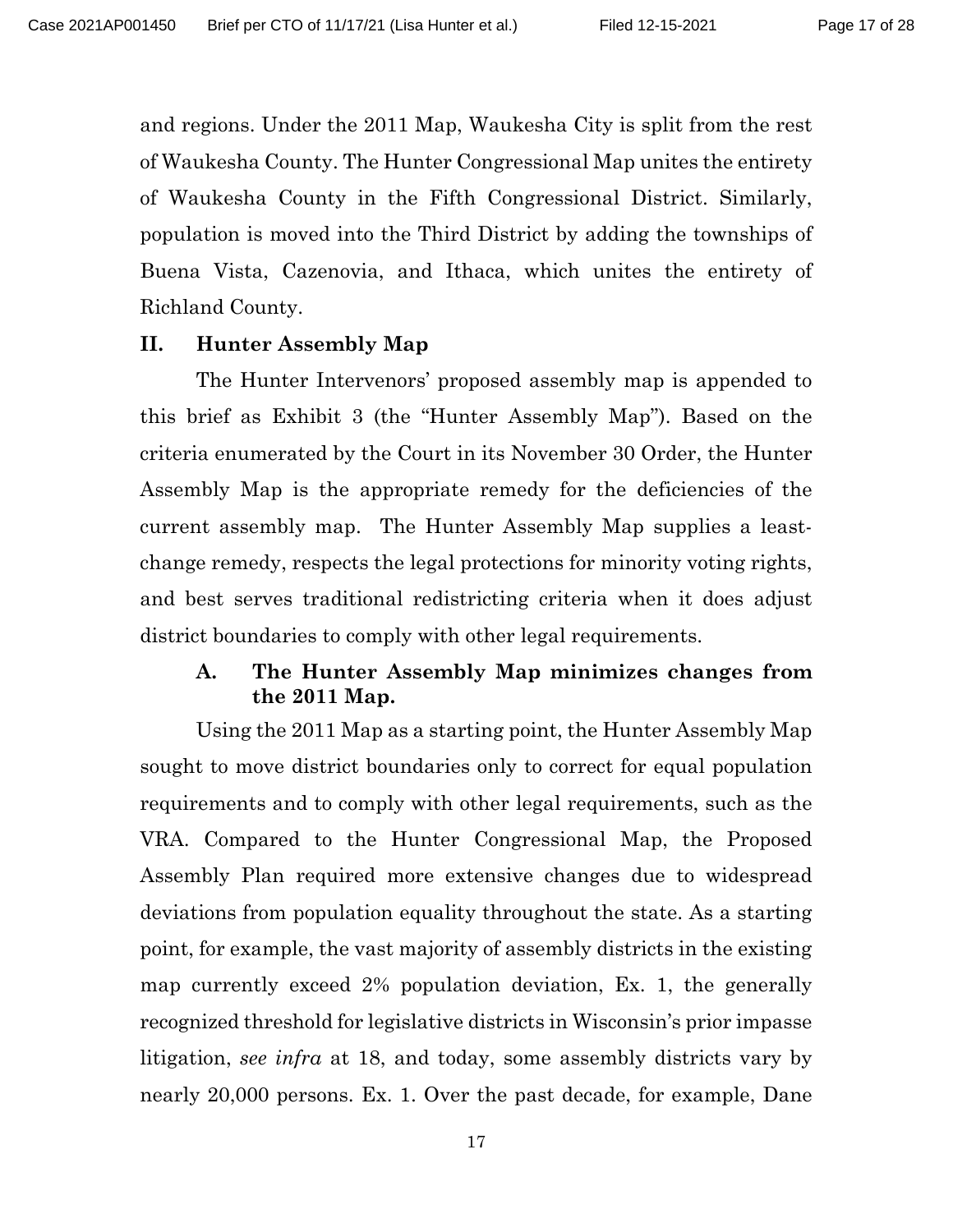and regions. Under the 2011 Map, Waukesha City is split from the rest of Waukesha County. The Hunter Congressional Map unites the entirety of Waukesha County in the Fifth Congressional District. Similarly, population is moved into the Third District by adding the townships of Buena Vista, Cazenovia, and Ithaca, which unites the entirety of Richland County.

#### <span id="page-16-0"></span>**II. Hunter Assembly Map**

The Hunter Intervenors' proposed assembly map is appended to this brief as Exhibit 3 (the "Hunter Assembly Map"). Based on the criteria enumerated by the Court in its November 30 Order, the Hunter Assembly Map is the appropriate remedy for the deficiencies of the current assembly map. The Hunter Assembly Map supplies a leastchange remedy, respects the legal protections for minority voting rights, and best serves traditional redistricting criteria when it does adjust district boundaries to comply with other legal requirements.

## <span id="page-16-1"></span>**A. The Hunter Assembly Map minimizes changes from the 2011 Map.**

Using the 2011 Map as a starting point, the Hunter Assembly Map sought to move district boundaries only to correct for equal population requirements and to comply with other legal requirements, such as the VRA. Compared to the Hunter Congressional Map, the Proposed Assembly Plan required more extensive changes due to widespread deviations from population equality throughout the state. As a starting point, for example, the vast majority of assembly districts in the existing map currently exceed 2% population deviation, Ex. 1, the generally recognized threshold for legislative districts in Wisconsin's prior impasse litigation, *see infra* at 18, and today, some assembly districts vary by nearly 20,000 persons. Ex. 1. Over the past decade, for example, Dane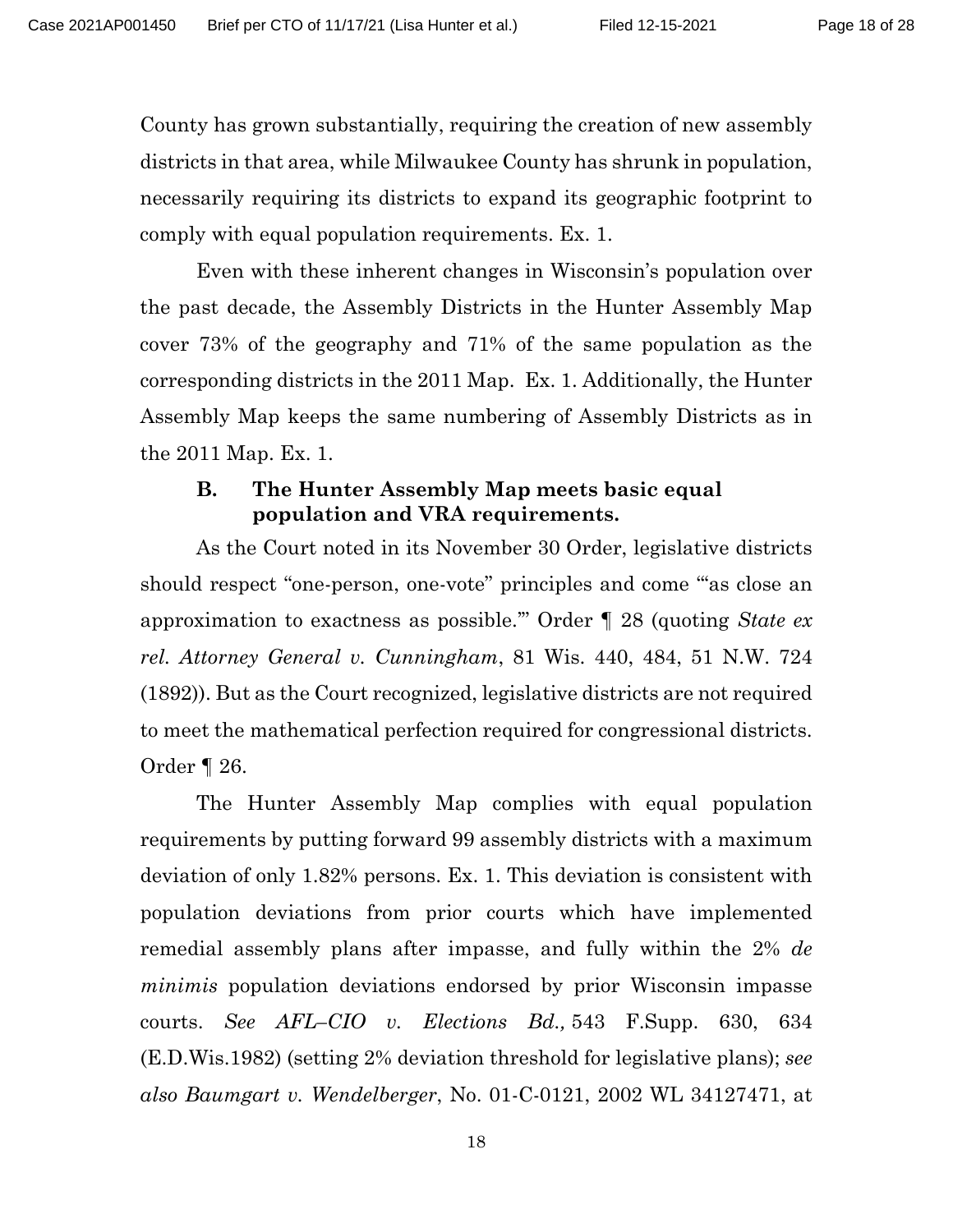County has grown substantially, requiring the creation of new assembly districts in that area, while Milwaukee County has shrunk in population, necessarily requiring its districts to expand its geographic footprint to comply with equal population requirements. Ex. 1.

Even with these inherent changes in Wisconsin's population over the past decade, the Assembly Districts in the Hunter Assembly Map cover 73% of the geography and 71% of the same population as the corresponding districts in the 2011 Map. Ex. 1. Additionally, the Hunter Assembly Map keeps the same numbering of Assembly Districts as in the 2011 Map. Ex. 1.

#### <span id="page-17-0"></span>**B. The Hunter Assembly Map meets basic equal population and VRA requirements.**

As the Court noted in its November 30 Order, legislative districts should respect "one-person, one-vote" principles and come "'as close an approximation to exactness as possible.'" Order ¶ 28 (quoting *State ex rel. Attorney General v. Cunningham*, 81 Wis. 440, 484, 51 N.W. 724 (1892)). But as the Court recognized, legislative districts are not required to meet the mathematical perfection required for congressional districts. Order ¶ 26.

<span id="page-17-2"></span><span id="page-17-1"></span>The Hunter Assembly Map complies with equal population requirements by putting forward 99 assembly districts with a maximum deviation of only 1.82% persons. Ex. 1. This deviation is consistent with population deviations from prior courts which have implemented remedial assembly plans after impasse, and fully within the 2% *de minimis* population deviations endorsed by prior Wisconsin impasse courts. *See AFL–CIO v. Elections Bd.,* 543 F.Supp. 630, 634 (E.D.Wis.1982) (setting 2% deviation threshold for legislative plans); *see also Baumgart v. Wendelberger*, No. 01-C-0121, 2002 WL 34127471, at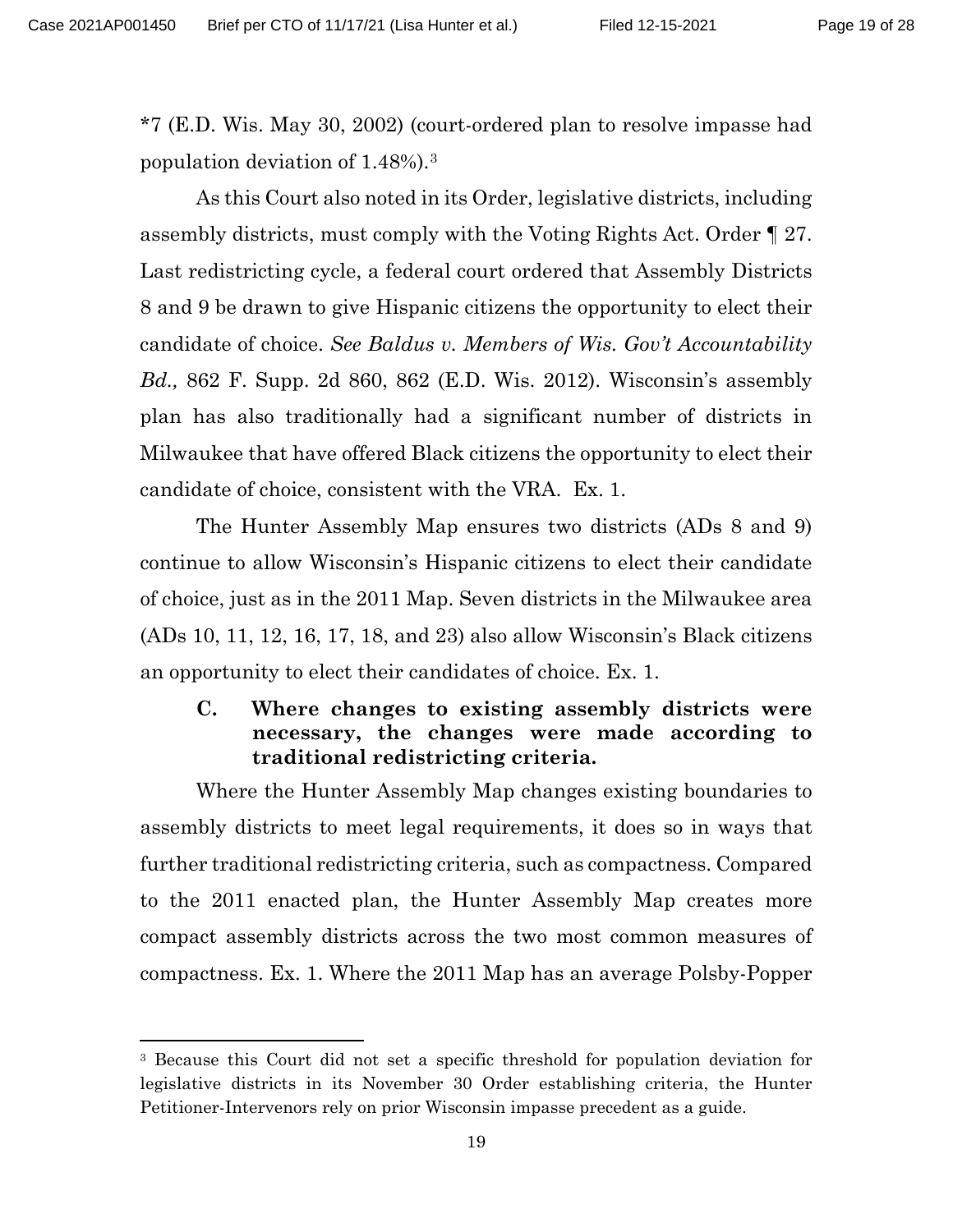\*7 (E.D. Wis. May 30, 2002) (court-ordered plan to resolve impasse had population deviation of 1.48%).[3](#page-18-2)

<span id="page-18-1"></span>As this Court also noted in its Order, legislative districts, including assembly districts, must comply with the Voting Rights Act. Order ¶ 27. Last redistricting cycle, a federal court ordered that Assembly Districts 8 and 9 be drawn to give Hispanic citizens the opportunity to elect their candidate of choice. *See Baldus v. Members of Wis. Gov't Accountability Bd.,* 862 F. Supp. 2d 860, 862 (E.D. Wis. 2012). Wisconsin's assembly plan has also traditionally had a significant number of districts in Milwaukee that have offered Black citizens the opportunity to elect their candidate of choice, consistent with the VRA. Ex. 1.

The Hunter Assembly Map ensures two districts (ADs 8 and 9) continue to allow Wisconsin's Hispanic citizens to elect their candidate of choice, just as in the 2011 Map. Seven districts in the Milwaukee area (ADs 10, 11, 12, 16, 17, 18, and 23) also allow Wisconsin's Black citizens an opportunity to elect their candidates of choice. Ex. 1.

## <span id="page-18-0"></span>**C. Where changes to existing assembly districts were necessary, the changes were made according to traditional redistricting criteria.**

Where the Hunter Assembly Map changes existing boundaries to assembly districts to meet legal requirements, it does so in ways that further traditional redistricting criteria, such as compactness. Compared to the 2011 enacted plan, the Hunter Assembly Map creates more compact assembly districts across the two most common measures of compactness. Ex. 1. Where the 2011 Map has an average Polsby-Popper

<span id="page-18-2"></span><sup>3</sup> Because this Court did not set a specific threshold for population deviation for legislative districts in its November 30 Order establishing criteria, the Hunter Petitioner-Intervenors rely on prior Wisconsin impasse precedent as a guide.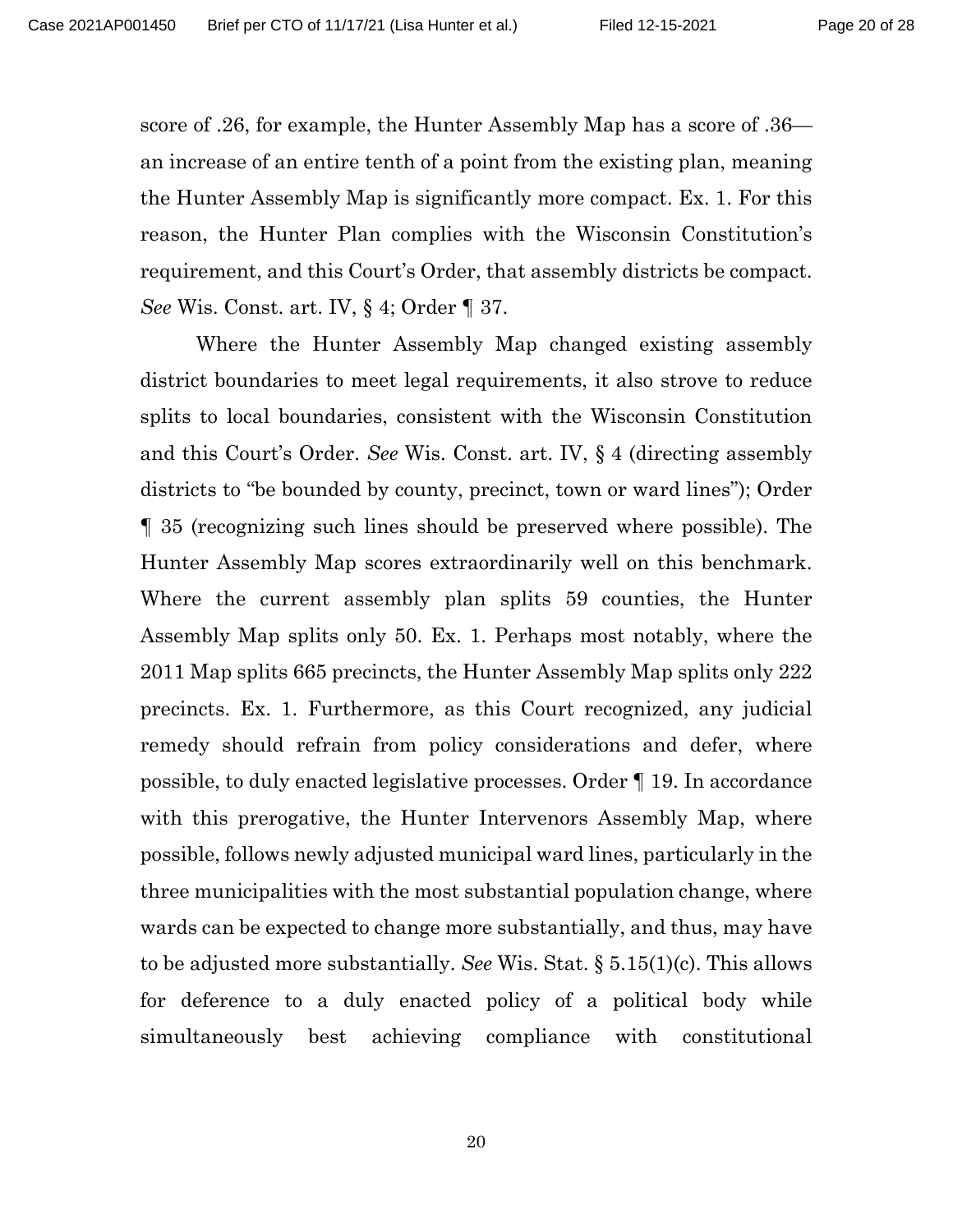score of .26, for example, the Hunter Assembly Map has a score of .36 an increase of an entire tenth of a point from the existing plan, meaning the Hunter Assembly Map is significantly more compact. Ex. 1. For this reason, the Hunter Plan complies with the Wisconsin Constitution's requirement, and this Court's Order, that assembly districts be compact. *See* Wis. Const. art. IV, § 4; Order ¶ 37.

<span id="page-19-1"></span><span id="page-19-0"></span>Where the Hunter Assembly Map changed existing assembly district boundaries to meet legal requirements, it also strove to reduce splits to local boundaries, consistent with the Wisconsin Constitution and this Court's Order. *See* Wis. Const. art. IV, § 4 (directing assembly districts to "be bounded by county, precinct, town or ward lines"); Order ¶ 35 (recognizing such lines should be preserved where possible). The Hunter Assembly Map scores extraordinarily well on this benchmark. Where the current assembly plan splits 59 counties, the Hunter Assembly Map splits only 50. Ex. 1. Perhaps most notably, where the 2011 Map splits 665 precincts, the Hunter Assembly Map splits only 222 precincts. Ex. 1. Furthermore, as this Court recognized, any judicial remedy should refrain from policy considerations and defer, where possible, to duly enacted legislative processes. Order ¶ 19. In accordance with this prerogative, the Hunter Intervenors Assembly Map, where possible, follows newly adjusted municipal ward lines, particularly in the three municipalities with the most substantial population change, where wards can be expected to change more substantially, and thus, may have to be adjusted more substantially. *See* Wis. Stat. § 5.15(1)(c). This allows for deference to a duly enacted policy of a political body while simultaneously best achieving compliance with constitutional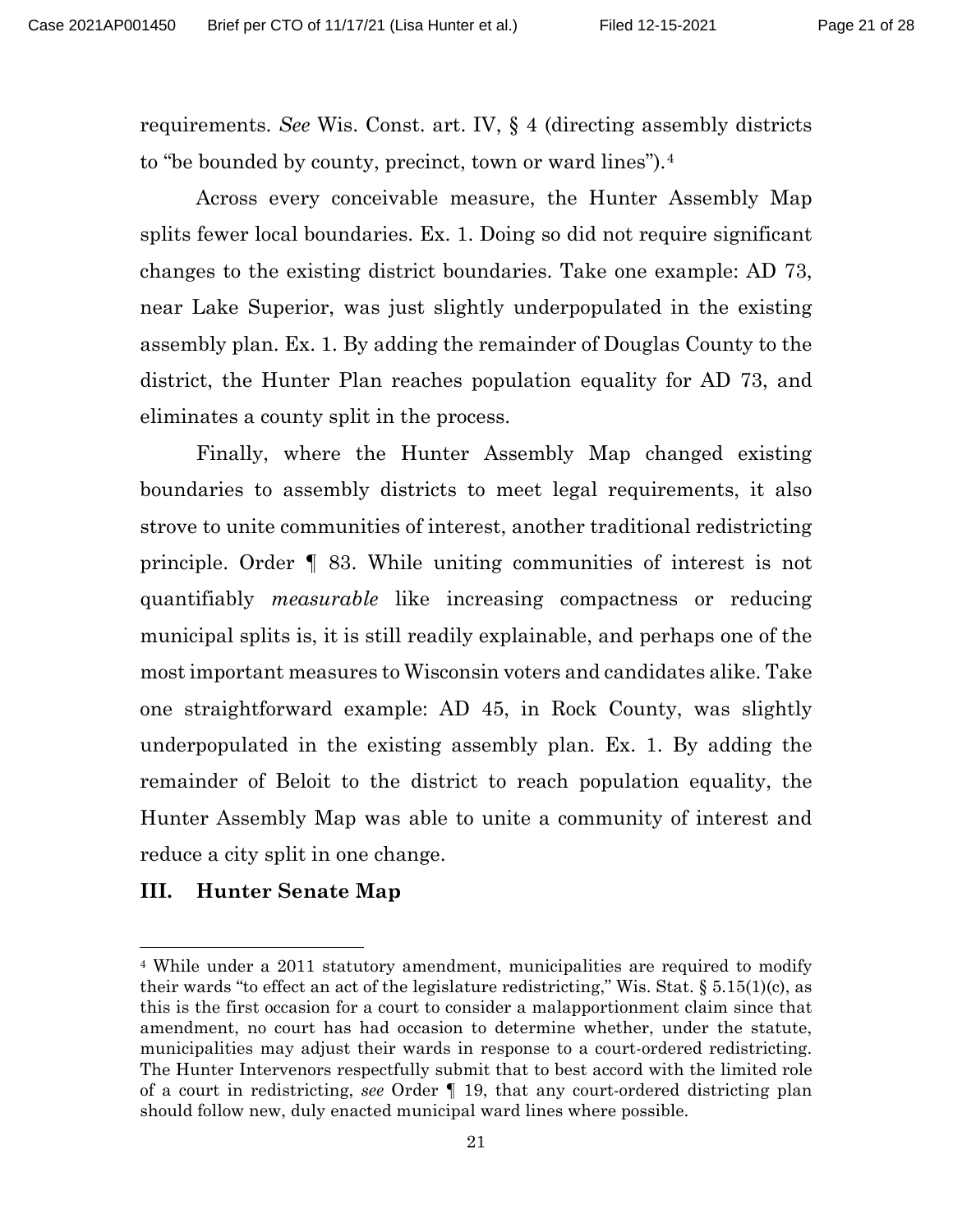requirements. *See* Wis. Const. art. IV, § 4 (directing assembly districts to "be bounded by county, precinct, town or ward lines").[4](#page-20-2)

Across every conceivable measure, the Hunter Assembly Map splits fewer local boundaries. Ex. 1. Doing so did not require significant changes to the existing district boundaries. Take one example: AD 73, near Lake Superior, was just slightly underpopulated in the existing assembly plan. Ex. 1. By adding the remainder of Douglas County to the district, the Hunter Plan reaches population equality for AD 73, and eliminates a county split in the process.

Finally, where the Hunter Assembly Map changed existing boundaries to assembly districts to meet legal requirements, it also strove to unite communities of interest, another traditional redistricting principle. Order ¶ 83. While uniting communities of interest is not quantifiably *measurable* like increasing compactness or reducing municipal splits is, it is still readily explainable, and perhaps one of the most important measures to Wisconsin voters and candidates alike. Take one straightforward example: AD 45, in Rock County, was slightly underpopulated in the existing assembly plan. Ex. 1. By adding the remainder of Beloit to the district to reach population equality, the Hunter Assembly Map was able to unite a community of interest and reduce a city split in one change.

#### <span id="page-20-0"></span>**III. Hunter Senate Map**

<span id="page-20-2"></span><span id="page-20-1"></span><sup>4</sup> While under a 2011 statutory amendment, municipalities are required to modify their wards "to effect an act of the legislature redistricting," Wis. Stat.  $\S 5.15(1)(c)$ , as this is the first occasion for a court to consider a malapportionment claim since that amendment, no court has had occasion to determine whether, under the statute, municipalities may adjust their wards in response to a court-ordered redistricting. The Hunter Intervenors respectfully submit that to best accord with the limited role of a court in redistricting, *see* Order ¶ 19, that any court-ordered districting plan should follow new, duly enacted municipal ward lines where possible.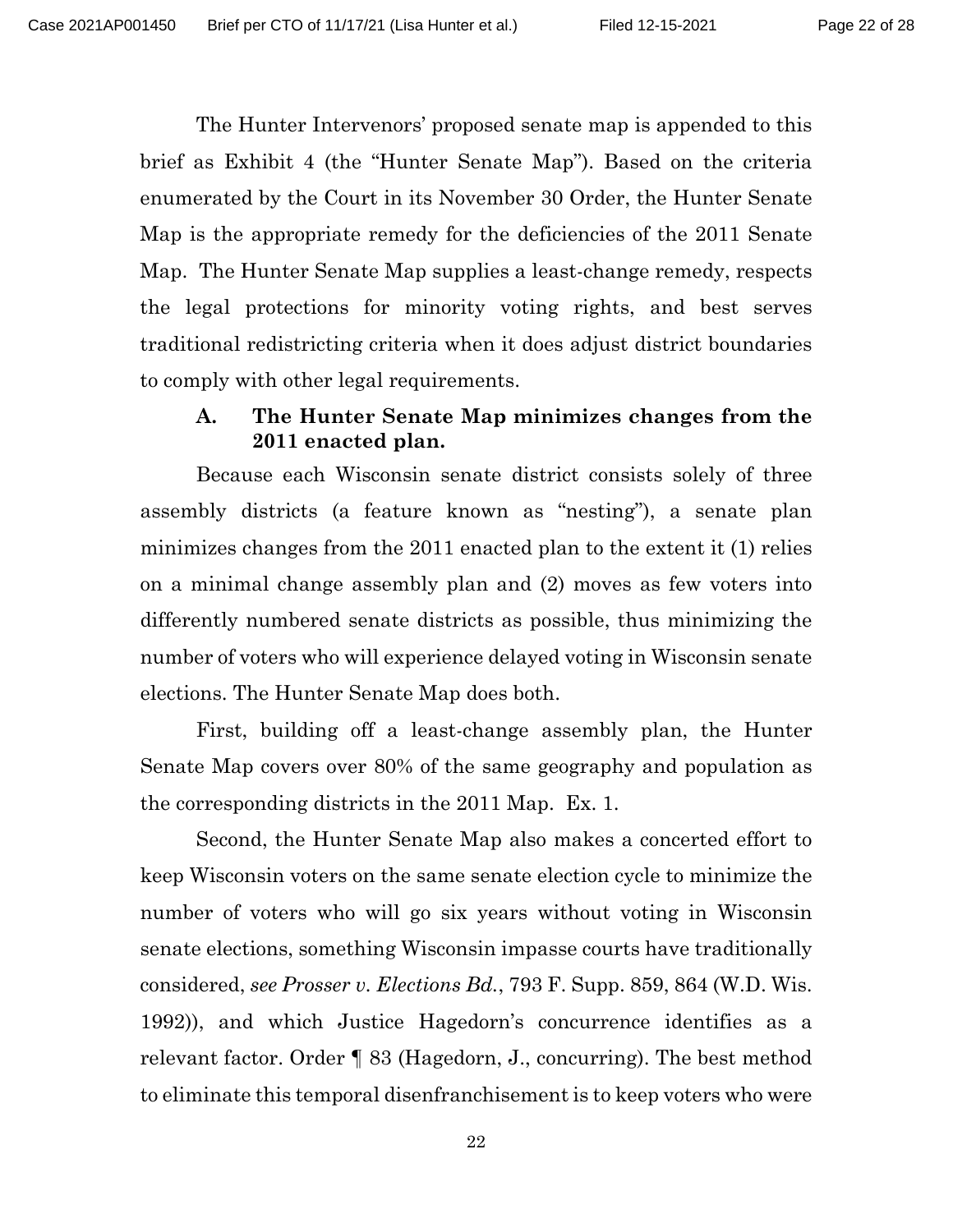The Hunter Intervenors' proposed senate map is appended to this brief as Exhibit 4 (the "Hunter Senate Map"). Based on the criteria enumerated by the Court in its November 30 Order, the Hunter Senate Map is the appropriate remedy for the deficiencies of the 2011 Senate Map. The Hunter Senate Map supplies a least-change remedy, respects the legal protections for minority voting rights, and best serves traditional redistricting criteria when it does adjust district boundaries to comply with other legal requirements.

### <span id="page-21-0"></span>**A. The Hunter Senate Map minimizes changes from the 2011 enacted plan.**

Because each Wisconsin senate district consists solely of three assembly districts (a feature known as "nesting"), a senate plan minimizes changes from the 2011 enacted plan to the extent it (1) relies on a minimal change assembly plan and (2) moves as few voters into differently numbered senate districts as possible, thus minimizing the number of voters who will experience delayed voting in Wisconsin senate elections. The Hunter Senate Map does both.

First, building off a least-change assembly plan, the Hunter Senate Map covers over 80% of the same geography and population as the corresponding districts in the 2011 Map. Ex. 1.

<span id="page-21-1"></span>Second, the Hunter Senate Map also makes a concerted effort to keep Wisconsin voters on the same senate election cycle to minimize the number of voters who will go six years without voting in Wisconsin senate elections, something Wisconsin impasse courts have traditionally considered, *see Prosser v. Elections Bd.*, 793 F. Supp. 859, 864 (W.D. Wis. 1992)), and which Justice Hagedorn's concurrence identifies as a relevant factor. Order ¶ 83 (Hagedorn, J., concurring). The best method to eliminate this temporal disenfranchisement is to keep voters who were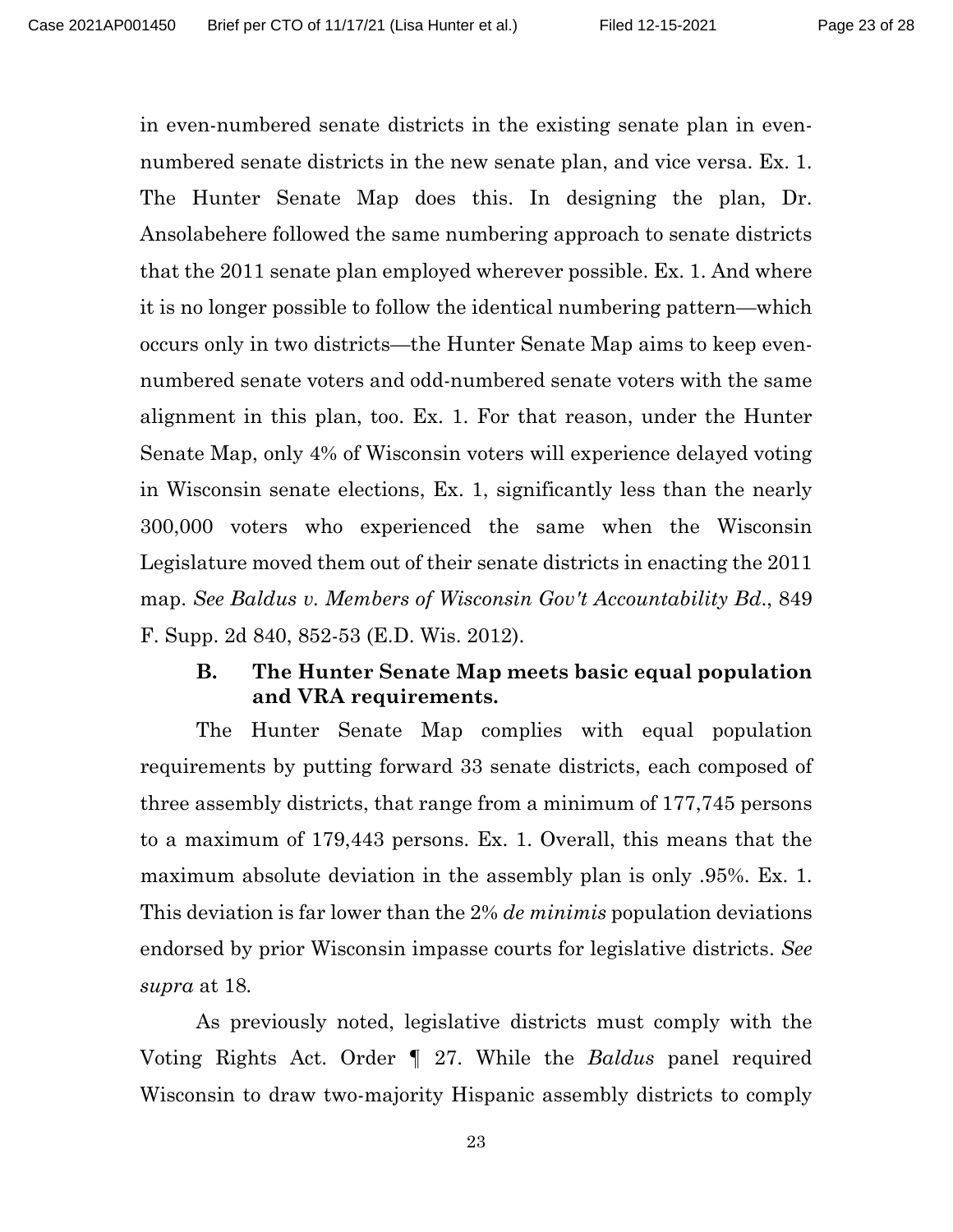in even-numbered senate districts in the existing senate plan in evennumbered senate districts in the new senate plan, and vice versa. Ex. 1. The Hunter Senate Map does this. In designing the plan, Dr. Ansolabehere followed the same numbering approach to senate districts that the 2011 senate plan employed wherever possible. Ex. 1. And where it is no longer possible to follow the identical numbering pattern—which occurs only in two districts—the Hunter Senate Map aims to keep evennumbered senate voters and odd-numbered senate voters with the same alignment in this plan, too. Ex. 1. For that reason, under the Hunter Senate Map, only 4% of Wisconsin voters will experience delayed voting in Wisconsin senate elections, Ex. 1, significantly less than the nearly 300,000 voters who experienced the same when the Wisconsin Legislature moved them out of their senate districts in enacting the 2011 map. *See Baldus v. Members of Wisconsin Gov't Accountability Bd*., 849 F. Supp. 2d 840, 852-53 (E.D. Wis. 2012).

#### <span id="page-22-1"></span><span id="page-22-0"></span>**B. The Hunter Senate Map meets basic equal population and VRA requirements.**

The Hunter Senate Map complies with equal population requirements by putting forward 33 senate districts, each composed of three assembly districts, that range from a minimum of 177,745 persons to a maximum of 179,443 persons. Ex. 1. Overall, this means that the maximum absolute deviation in the assembly plan is only .95%. Ex. 1. This deviation is far lower than the 2% *de minimis* population deviations endorsed by prior Wisconsin impasse courts for legislative districts. *See supra* at 18*.*

As previously noted, legislative districts must comply with the Voting Rights Act. Order ¶ 27. While the *Baldus* panel required Wisconsin to draw two-majority Hispanic assembly districts to comply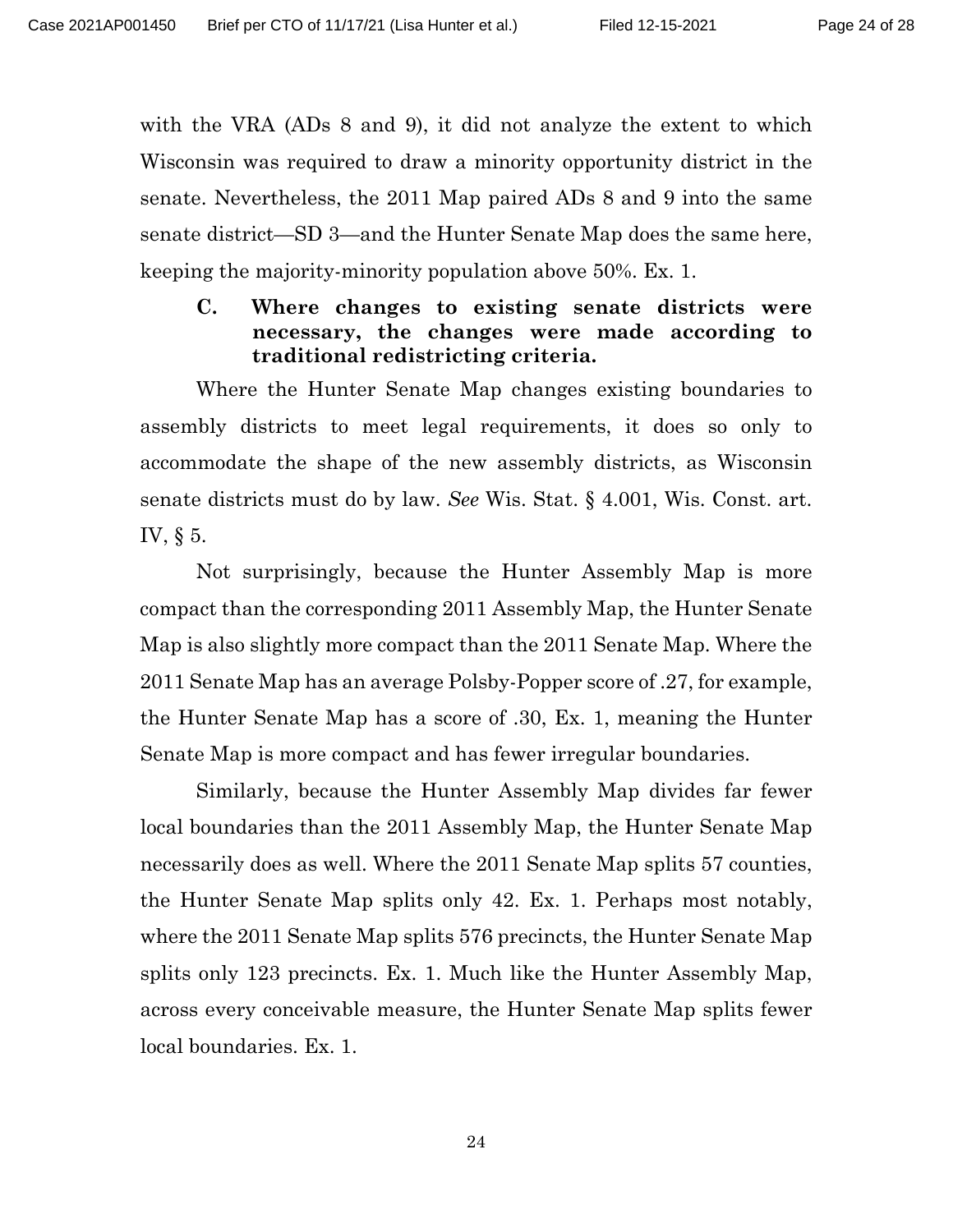with the VRA (ADs 8 and 9), it did not analyze the extent to which Wisconsin was required to draw a minority opportunity district in the senate. Nevertheless, the 2011 Map paired ADs 8 and 9 into the same senate district—SD 3—and the Hunter Senate Map does the same here, keeping the majority-minority population above 50%. Ex. 1.

### <span id="page-23-2"></span><span id="page-23-1"></span><span id="page-23-0"></span>**C. Where changes to existing senate districts were necessary, the changes were made according to traditional redistricting criteria.**

Where the Hunter Senate Map changes existing boundaries to assembly districts to meet legal requirements, it does so only to accommodate the shape of the new assembly districts, as Wisconsin senate districts must do by law. *See* Wis. Stat. § 4.001, Wis. Const. art. IV, § 5.

Not surprisingly, because the Hunter Assembly Map is more compact than the corresponding 2011 Assembly Map, the Hunter Senate Map is also slightly more compact than the 2011 Senate Map. Where the 2011 Senate Map has an average Polsby-Popper score of .27, for example, the Hunter Senate Map has a score of .30, Ex. 1, meaning the Hunter Senate Map is more compact and has fewer irregular boundaries.

Similarly, because the Hunter Assembly Map divides far fewer local boundaries than the 2011 Assembly Map, the Hunter Senate Map necessarily does as well. Where the 2011 Senate Map splits 57 counties, the Hunter Senate Map splits only 42. Ex. 1. Perhaps most notably, where the 2011 Senate Map splits 576 precincts, the Hunter Senate Map splits only 123 precincts. Ex. 1. Much like the Hunter Assembly Map, across every conceivable measure, the Hunter Senate Map splits fewer local boundaries. Ex. 1.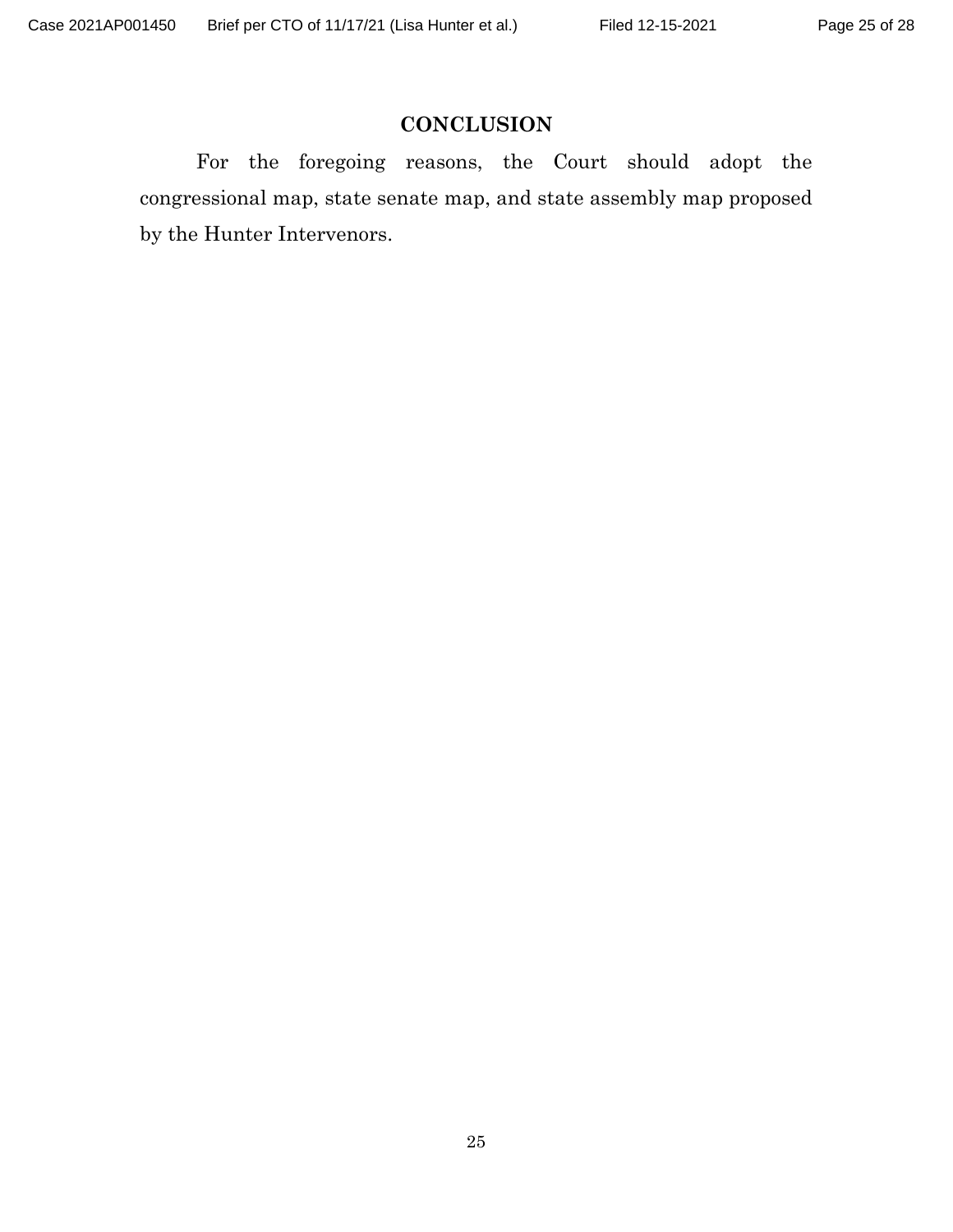## **CONCLUSION**

For the foregoing reasons, the Court should adopt the congressional map, state senate map, and state assembly map proposed by the Hunter Intervenors.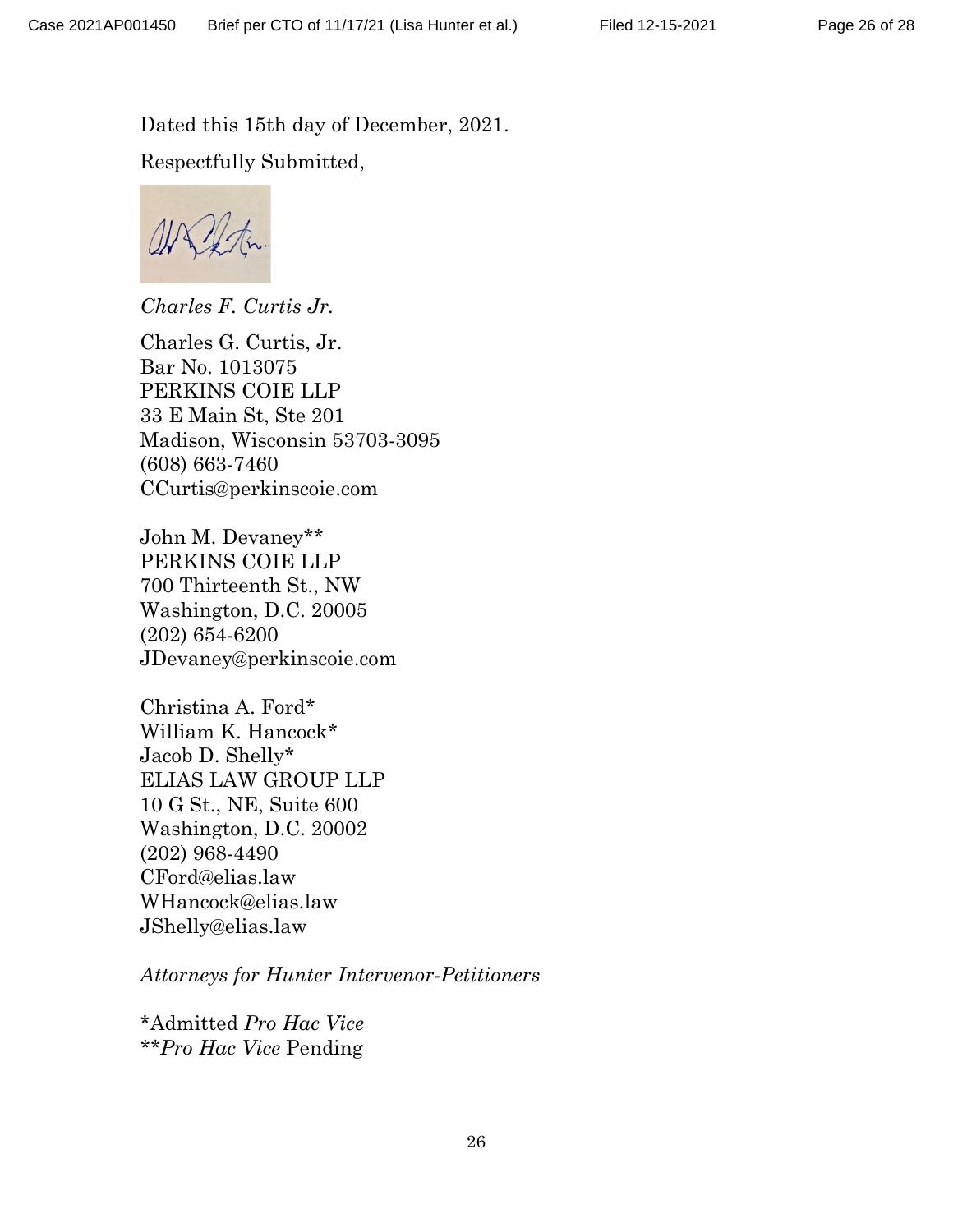Dated this 15th day of December, 2021. Respectfully Submitted,

*Charles F. Curtis Jr.* 

Charles G. Curtis, Jr. Bar No. 1013075 PERKINS COIE LLP 33 E Main St, Ste 201 Madison, Wisconsin 53703-3095 (608) 663-7460 CCurtis@perkinscoie.com

John M. Devaney\*\* PERKINS COIE LLP 700 Thirteenth St., NW Washington, D.C. 20005 (202) 654-6200 JDevaney@perkinscoie.com

Christina A. Ford\* William K. Hancock\* Jacob D. Shelly\* ELIAS LAW GROUP LLP 10 G St., NE, Suite 600 Washington, D.C. 20002 (202) 968-4490 CFord@elias.law WHancock@elias.law JShelly@elias.law

*Attorneys for Hunter Intervenor-Petitioners*

\*Admitted *Pro Hac Vice \*\*Pro Hac Vice* Pending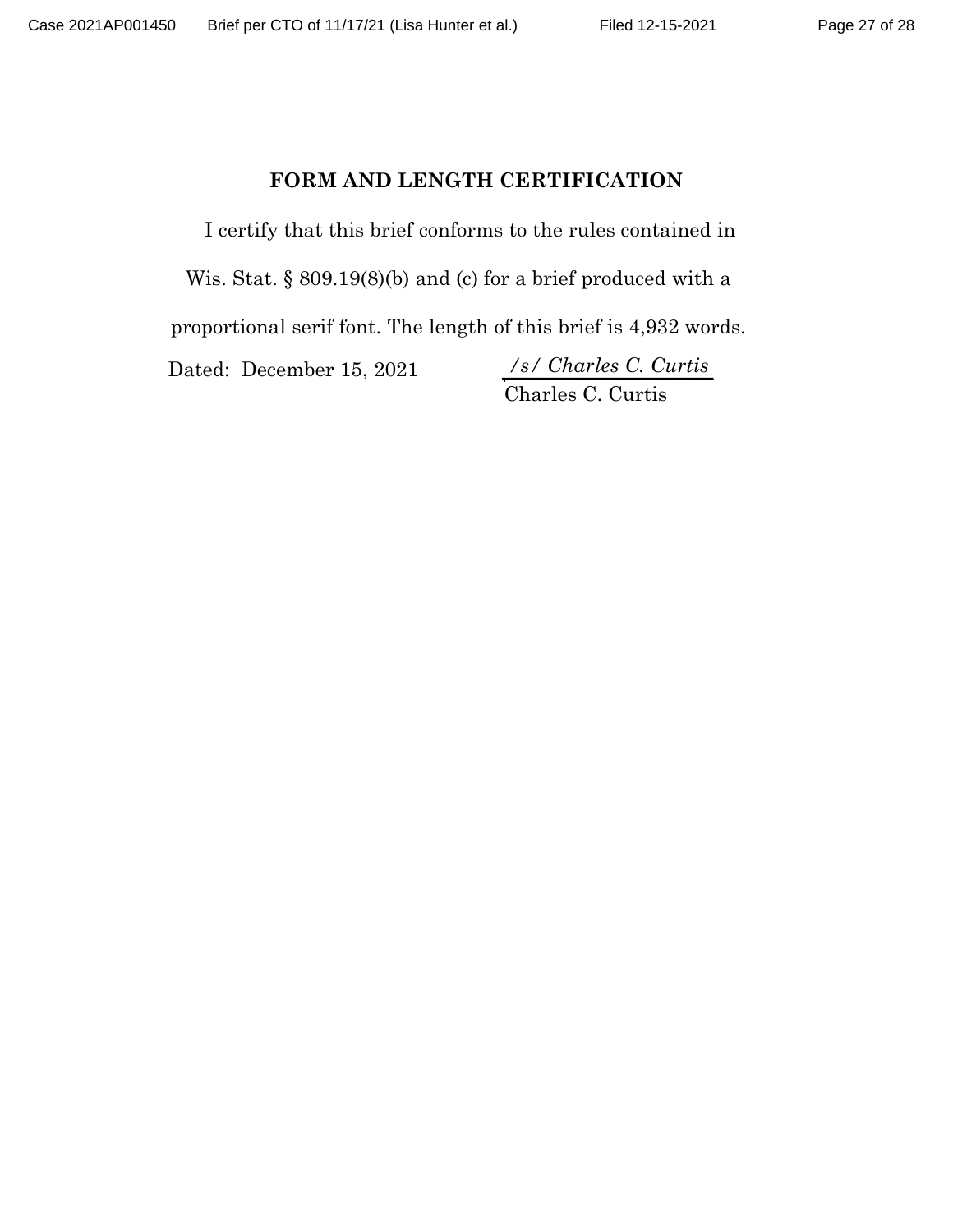## FORM AND LENGTH CERTIFICATION

I certify that this brief conforms to the rules contained in

Wis. Stat. § 809.19(8)(b) and (c) for a brief produced with a

proportional serif font. The length of this brief is 4,932 words.

Dated: December 15, 2021

Charles C. Curtis *\_\_\_\_\_\_\_\_\_\_\_\_\_\_\_\_\_\_\_\_\_ /s/ Charles C. Curtis*